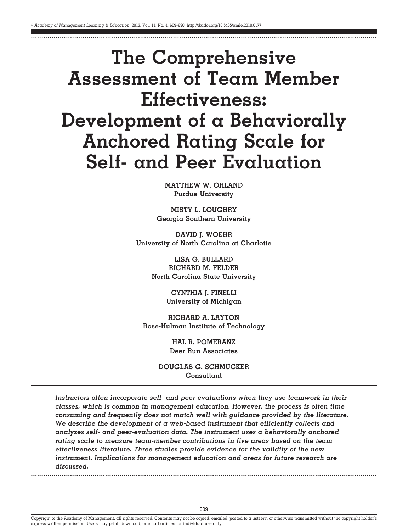# **The Comprehensive Assessment of Team Member Effectiveness: Development of a Behaviorally Anchored Rating Scale for Self- and Peer Evaluation**

........................................................................................................................................................................

**MATTHEW W. OHLAND Purdue University**

**MISTY L. LOUGHRY Georgia Southern University**

**DAVID J. WOEHR University of North Carolina at Charlotte**

> **LISA G. BULLARD RICHARD M. FELDER North Carolina State University**

> > **CYNTHIA J. FINELLI University of Michigan**

**RICHARD A. LAYTON Rose-Hulman Institute of Technology**

> **HAL R. POMERANZ Deer Run Associates**

**DOUGLAS G. SCHMUCKER Consultant**

*Instructors often incorporate self- and peer evaluations when they use teamwork in their classes, which is common in management education. However, the process is often time consuming and frequently does not match well with guidance provided by the literature. We describe the development of a web-based instrument that efficiently collects and analyzes self- and peer-evaluation data. The instrument uses a behaviorally anchored rating scale to measure team-member contributions in five areas based on the team effectiveness literature. Three studies provide evidence for the validity of the new instrument. Implications for management education and areas for future research are discussed.* ........................................................................................................................................................................

Copyright of the Academy of Management, all rights reserved. Contents may not be copied, emailed, posted to a listserv, or otherwise transmitted without the copyright holder's express written permission. Users may print, download, or email articles for individual use only.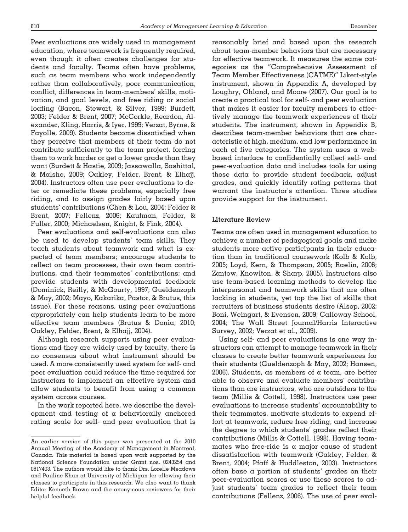Peer evaluations are widely used in management education, where teamwork is frequently required, even though it often creates challenges for students and faculty. Teams often have problems, such as team members who work independently rather than collaboratively, poor communication, conflict, differences in team-members' skills, motivation, and goal levels, and free riding or social loafing (Bacon, Stewart, & Silver, 1999; Burdett, 2003; Felder & Brent, 2007; McCorkle, Reardon, Alexander, Kling, Harris, & Iyer, 1999; Verzat, Byrne, & Fayolle, 2009). Students become dissatisfied when they perceive that members of their team do not contribute sufficiently to the team project, forcing them to work harder or get a lower grade than they want (Burdett & Hastie, 2009; Jassawalla, Sashittal, & Malshe, 2009; Oakley, Felder, Brent, & Elhajj, 2004). Instructors often use peer evaluations to deter or remediate these problems, especially free riding, and to assign grades fairly based upon students' contributions (Chen & Lou, 2004; Felder & Brent, 2007; Fellenz, 2006; Kaufman, Felder, & Fuller, 2000; Michaelsen, Knight, & Fink, 2004).

Peer evaluations and self-evaluations can also be used to develop students' team skills. They teach students about teamwork and what is expected of team members; encourage students to reflect on team processes, their own team contributions, and their teammates' contributions; and provide students with developmental feedback (Dominick, Reilly, & McGourty, 1997; Gueldenzoph & May, 2002; Mayo, Kakarika, Pastor, & Brutus, this issue). For these reasons, using peer evaluations appropriately can help students learn to be more effective team members (Brutus & Donia, 2010; Oakley, Felder, Brent, & Elhajj, 2004).

Although research supports using peer evaluations and they are widely used by faculty, there is no consensus about what instrument should be used. A more consistently used system for self- and peer evaluation could reduce the time required for instructors to implement an effective system and allow students to benefit from using a common system across courses.

In the work reported here, we describe the development and testing of a behaviorally anchored rating scale for self- and peer evaluation that is reasonably brief and based upon the research about team-member behaviors that are necessary for effective teamwork. It measures the same categories as the "Comprehensive Assessment of Team Member Effectiveness (CATME)" Likert-style instrument, shown in Appendix A, developed by Loughry, Ohland, and Moore (2007). Our goal is to create a practical tool for self- and peer evaluation that makes it easier for faculty members to effectively manage the teamwork experiences of their students. The instrument, shown in Appendix B, describes team-member behaviors that are characteristic of high, medium, and low performance in each of five categories. The system uses a webbased interface to confidentially collect self- and peer-evaluation data and includes tools for using those data to provide student feedback, adjust grades, and quickly identify rating patterns that warrant the instructor's attention. Three studies provide support for the instrument.

# **Literature Review**

Teams are often used in management education to achieve a number of pedagogical goals and make students more active participants in their education than in traditional coursework (Kolb & Kolb, 2005; Loyd, Kern, & Thompson, 2005; Raelin, 2006; Zantow, Knowlton, & Sharp, 2005). Instructors also use team-based learning methods to develop the interpersonal and teamwork skills that are often lacking in students, yet top the list of skills that recruiters of business students desire (Alsop, 2002; Boni, Weingart, & Evenson, 2009; Calloway School, 2004; The Wall Street Journal/Harris Interactive Survey, 2002; Verzat et al., 2009).

Using self- and peer evaluations is one way instructors can attempt to manage teamwork in their classes to create better teamwork experiences for their students (Gueldenzoph & May, 2002; Hansen, 2006). Students, as members of a team, are better able to observe and evaluate members' contributions than are instructors, who are outsiders to the team (Millis & Cottell, 1998). Instructors use peer evaluations to increase students' accountability to their teammates, motivate students to expend effort at teamwork, reduce free riding, and increase the degree to which students' grades reflect their contributions (Millis & Cottell, 1998). Having teammates who free-ride is a major cause of student dissatisfaction with teamwork (Oakley, Felder, & Brent, 2004; Pfaff & Huddleston, 2003). Instructors often base a portion of students' grades on their peer-evaluation scores or use these scores to adjust students' team grades to reflect their team contributions (Fellenz, 2006). The use of peer eval-

An earlier version of this paper was presented at the 2010 Annual Meeting of the Academy of Management in Montreal, Canada. This material is based upon work supported by the National Science Foundation under Grant nos. 0243254 and 0817403. The authors would like to thank Drs. Lorelle Meadows and Pauline Khan at University of Michigan for allowing their classes to participate in this research. We also want to thank Editor Kenneth Brown and the anonymous reviewers for their helpful feedback.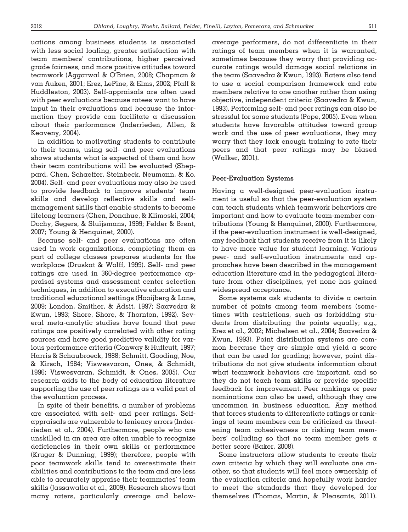uations among business students is associated with less social loafing, greater satisfaction with team members' contributions, higher perceived grade fairness, and more positive attitudes toward teamwork (Aggarwal & O'Brien, 2008; Chapman & van Auken, 2001; Erez, LePine, & Elms, 2002; Pfaff & Huddleston, 2003). Self-appraisals are often used with peer evaluations because ratees want to have input in their evaluations and because the information they provide can facilitate a discussion about their performance (Inderrieden, Allen, & Keaveny, 2004).

In addition to motivating students to contribute to their teams, using self- and peer evaluations shows students what is expected of them and how their team contributions will be evaluated (Sheppard, Chen, Schaeffer, Steinbeck, Neumann, & Ko, 2004). Self- and peer evaluations may also be used to provide feedback to improve students' team skills and develop reflective skills and selfmanagement skills that enable students to become lifelong learners (Chen, Donahue, & Klimoski, 2004; Dochy, Segers, & Sluijsmans, 1999; Felder & Brent, 2007; Young & Henquinet, 2000).

Because self- and peer evaluations are often used in work organizations, completing them as part of college classes prepares students for the workplace (Druskat & Wolff, 1999). Self- and peer ratings are used in 360-degree performance appraisal systems and assessment center selection techniques, in addition to executive education and traditional educational settings (Hooijberg & Lane, 2009; London, Smither, & Adsit, 1997; Saavedra & Kwun, 1993; Shore, Shore, & Thornton, 1992). Several meta-analytic studies have found that peer ratings are positively correlated with other rating sources and have good predictive validity for various performance criteria (Conway & Huffcutt, 1997; Harris & Schaubroeck, 1988; Schmitt, Gooding, Noe, & Kirsch, 1984; Viswesvaran, Ones, & Schmidt, 1996; Viswesvaran, Schmidt, & Ones, 2005). Our research adds to the body of education literature supporting the use of peer ratings as a valid part of the evaluation process.

In spite of their benefits,  $\alpha$  number of problems are associated with self- and peer ratings. Selfappraisals are vulnerable to leniency errors (Inderrieden et al., 2004). Furthermore, people who are unskilled in an area are often unable to recognize deficiencies in their own skills or performance (Kruger & Dunning, 1999); therefore, people with poor teamwork skills tend to overestimate their abilities and contributions to the team and are less able to accurately appraise their teammates' team skills (Jassawalla et al., 2009). Research shows that many raters, particularly average and belowaverage performers, do not differentiate in their ratings of team members when it is warranted, sometimes because they worry that providing accurate ratings would damage social relations in the team (Saavedra & Kwun, 1993). Raters also tend to use a social comparison framework and rate members relative to one another rather than using objective, independent criteria (Saavedra & Kwun, 1993). Performing self- and peer ratings can also be stressful for some students (Pope, 2005). Even when students have favorable attitudes toward group work and the use of peer evaluations, they may worry that they lack enough training to rate their peers and that peer ratings may be biased (Walker, 2001).

# **Peer-Evaluation Systems**

Having a well-designed peer-evaluation instrument is useful so that the peer-evaluation system can teach students which teamwork behaviors are important and how to evaluate team-member contributions (Young & Henquinet, 2000). Furthermore, if the peer-evaluation instrument is well-designed, any feedback that students receive from it is likely to have more value for student learning. Various peer- and self-evaluation instruments and approaches have been described in the management education literature and in the pedagogical literature from other disciplines, yet none has gained widespread acceptance.

Some systems ask students to divide a certain number of points among team members (sometimes with restrictions, such as forbidding students from distributing the points equally; e.g., Erez et al., 2002; Michelsen et al., 2004; Saavedra & Kwun, 1993). Point distribution systems are common because they are simple and yield a score that can be used for grading; however, point distributions do not give students information about what teamwork behaviors are important, and so they do not teach team skills or provide specific feedback for improvement. Peer rankings or peer nominations can also be used, although they are uncommon in business education. Any method that forces students to differentiate ratings or rankings of team members can be criticized as threatening team cohesiveness or risking team members' colluding so that no team member gets a better score (Baker, 2008).

Some instructors allow students to create their own criteria by which they will evaluate one another, so that students will feel more ownership of the evaluation criteria and hopefully work harder to meet the standards that they developed for themselves (Thomas, Martin, & Pleasants, 2011).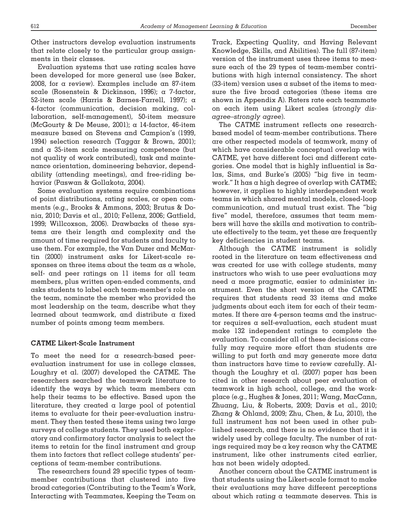Other instructors develop evaluation instruments that relate closely to the particular group assignments in their classes.

Evaluation systems that use rating scales have been developed for more general use (see Baker, 2008, for a review). Examples include an 87-item scale (Rosenstein & Dickinson, 1996); a 7-factor, 52-item scale (Harris & Barnes-Farrell, 1997); a 4-factor (communication, decision making, collaboration, self-management), 50-item measure (McGourty & De Meuse, 2001); a 14-factor, 46-item measure based on Stevens and Campion's (1999, 1994) selection research (Taggar & Brown, 2001); and a 35-item scale measuring competence (but not quality of work contributed), task and maintenance orientation, domineering behavior, dependability (attending meetings), and free-riding behavior (Paswan & Gollakota, 2004).

Some evaluation systems require combinations of point distributions, rating scales, or open comments (e.g., Brooks & Ammons, 2003; Brutus & Donia, 2010; Davis et al., 2010; Fellenz, 2006; Gatfield, 1999; Willcoxson, 2006). Drawbacks of these systems are their length and complexity and the amount of time required for students and faculty to use them. For example, the Van Duzer and McMartin (2000) instrument asks for Likert-scale responses on three items about the team as a whole, self- and peer ratings on 11 items for all team members, plus written open-ended comments, and asks students to label each team-member's role on the team, nominate the member who provided the most leadership on the team, describe what they learned about teamwork, and distribute a fixed number of points among team members.

#### **CATME Likert-Scale Instrument**

To meet the need for a research-based peerevaluation instrument for use in college classes, Loughry et al. (2007) developed the CATME. The researchers searched the teamwork literature to identify the ways by which team members can help their teams to be effective. Based upon the literature, they created a large pool of potential items to evaluate for their peer-evaluation instrument. They then tested these items using two large surveys of college students. They used both exploratory and confirmatory factor analysis to select the items to retain for the final instrument and group them into factors that reflect college students' perceptions of team-member contributions.

The researchers found 29 specific types of teammember contributions that clustered into five broad categories (Contributing to the Team's Work, Interacting with Teammates, Keeping the Team on Track, Expecting Quality, and Having Relevant Knowledge, Skills, and Abilities). The full (87-item) version of the instrument uses three items to measure each of the 29 types of team-member contributions with high internal consistency. The short (33-item) version uses  $\alpha$  subset of the items to measure the five broad categories (these items are shown in Appendix A). Raters rate each teammate on each item using Likert scales (*strongly disagree–strongly agree*).

The CATME instrument reflects one researchbased model of team-member contributions. There are other respected models of teamwork, many of which have considerable conceptual overlap with CATME, yet have different foci and different categories. One model that is highly influential is Salas, Sims, and Burke's (2005) "big five in teamwork." It has a high degree of overlap with CATME; however, it applies to highly interdependent work teams in which shared mental models, closed-loop communication, and mutual trust exist. The "big five" model, therefore, assumes that team members will have the skills and motivation to contribute effectively to the team, yet these are frequently key deficiencies in student teams.

Although the CATME instrument is solidly rooted in the literature on team effectiveness and was created for use with college students, many instructors who wish to use peer evaluations may need a more pragmatic, easier to administer instrument. Even the short version of the CATME requires that students read 33 items and make judgments about each item for each of their teammates. If there are 4-person teams and the instructor requires a self-evaluation, each student must make 132 independent ratings to complete the evaluation. To consider all of these decisions carefully may require more effort than students are willing to put forth and may generate more data than instructors have time to review carefully. Although the Loughry et al. (2007) paper has been cited in other research about peer evaluation of teamwork in high school, college, and the workplace (e.g., Hughes & Jones, 2011; Wang, MacCann, Zhuang, Liu, & Roberts, 2009; Davis et al., 2010; Zhang & Ohland, 2009; Zhu, Chen, & Lu, 2010), the full instrument has not been used in other published research, and there is no evidence that it is widely used by college faculty. The number of ratings required may be a key reason why the CATME instrument, like other instruments cited earlier, has not been widely adopted.

Another concern about the CATME instrument is that students using the Likert-scale format to make their evaluations may have different perceptions about which rating a teammate deserves. This is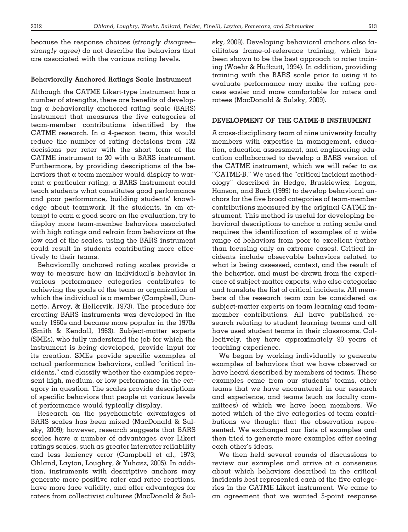because the response choices (*strongly disagree– strongly agree*) do not describe the behaviors that are associated with the various rating levels.

#### **Behaviorally Anchored Ratings Scale Instrument**

Although the CATME Likert-type instrument has a number of strengths, there are benefits of developing a behaviorally anchored rating scale (BARS) instrument that measures the five categories of team-member contributions identified by the CATME research. In  $\alpha$  4-person team, this would reduce the number of rating decisions from 132 decisions per rater with the short form of the CATME instrument to 20 with a BARS instrument. Furthermore, by providing descriptions of the behaviors that a team member would display to warrant a particular rating, a BARS instrument could teach students what constitutes good performance and poor performance, building students' knowledge about teamwork. If the students, in an attempt to earn a good score on the evaluation, try to display more team-member behaviors associated with high ratings and refrain from behaviors at the low end of the scales, using the BARS instrument could result in students contributing more effectively to their teams.

Behaviorally anchored rating scales provide a way to measure how an individual's behavior in various performance categories contributes to achieving the goals of the team or organization of which the individual is a member (Campbell, Dunnette, Arvey, & Hellervik, 1973). The procedure for creating BARS instruments was developed in the early 1960s and became more popular in the 1970s (Smith & Kendall, 1963). Subject-matter experts (SMEs), who fully understand the job for which the instrument is being developed, provide input for its creation. SMEs provide specific examples of actual performance behaviors, called "critical incidents," and classify whether the examples represent high, medium, or low performance in the category in question. The scales provide descriptions of specific behaviors that people at various levels of performance would typically display.

Research on the psychometric advantages of BARS scales has been mixed (MacDonald & Sulsky, 2009); however, research suggests that BARS scales have a number of advantages over Likert ratings scales, such as greater interrater reliability and less leniency error (Campbell et al., 1973; Ohland, Layton, Loughry, & Yuhasz, 2005). In addition, instruments with descriptive anchors may generate more positive rater and ratee reactions, have more face validity, and offer advantages for raters from collectivist cultures (MacDonald & Sulsky, 2009). Developing behavioral anchors also facilitates frame-of-reference training, which has been shown to be the best approach to rater training (Woehr & Huffcutt, 1994). In addition, providing training with the BARS scale prior to using it to evaluate performance may make the rating process easier and more comfortable for raters and ratees (MacDonald & Sulsky, 2009).

# **DEVELOPMENT OF THE CATME-B INSTRUMENT**

A cross-disciplinary team of nine university faculty members with expertise in management, education, education assessment, and engineering education collaborated to develop a BARS version of the CATME instrument, which we will refer to as "CATME-B." We used the "critical incident methodology" described in Hedge, Bruskiewicz, Logan, Hanson, and Buck (1999) to develop behavioral anchors for the five broad categories of team-member contributions measured by the original CATME instrument. This method is useful for developing behavioral descriptions to anchor a rating scale and requires the identification of examples of a wide range of behaviors from poor to excellent (rather than focusing only on extreme cases). Critical incidents include observable behaviors related to what is being assessed, context, and the result of the behavior, and must be drawn from the experience of subject-matter experts, who also categorize and translate the list of critical incidents. All members of the research team can be considered as subject-matter experts on team learning and teammember contributions. All have published research relating to student learning teams and all have used student teams in their classrooms. Collectively, they have approximately 90 years of teaching experience.

We began by working individually to generate examples of behaviors that we have observed or have heard described by members of teams. These examples came from our students' teams, other teams that we have encountered in our research and experience, and teams (such as faculty committees) of which we have been members. We noted which of the five categories of team contributions we thought that the observation represented. We exchanged our lists of examples and then tried to generate more examples after seeing each other's ideas.

We then held several rounds of discussions to review our examples and arrive at a consensus about which behaviors described in the critical incidents best represented each of the five categories in the CATME Likert instrument. We came to an agreement that we wanted 5-point response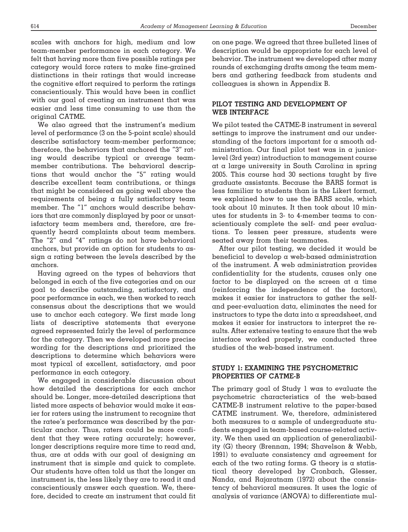scales with anchors for high, medium and low team-member performance in each category. We felt that having more than five possible ratings per category would force raters to make fine-grained distinctions in their ratings that would increase the cognitive effort required to perform the ratings conscientiously. This would have been in conflict with our goal of creating an instrument that was easier and less time consuming to use than the original CATME.

We also agreed that the instrument's medium level of performance (3 on the 5-point scale) should describe satisfactory team-member performance; therefore, the behaviors that anchored the "3" rating would describe typical or average teammember contributions. The behavioral descriptions that would anchor the "5" rating would describe excellent team contributions, or things that might be considered as going well above the requirements of being a fully satisfactory team member. The "1" anchors would describe behaviors that are commonly displayed by poor or unsatisfactory team members and, therefore, are frequently heard complaints about team members. The "2" and "4" ratings do not have behavioral anchors, but provide an option for students to assign a rating between the levels described by the anchors.

Having agreed on the types of behaviors that belonged in each of the five categories and on our goal to describe outstanding, satisfactory, and poor performance in each, we then worked to reach consensus about the descriptions that we would use to anchor each category. We first made long lists of descriptive statements that everyone agreed represented fairly the level of performance for the category. Then we developed more precise wording for the descriptions and prioritized the descriptions to determine which behaviors were most typical of excellent, satisfactory, and poor performance in each category.

We engaged in considerable discussion about how detailed the descriptions for each anchor should be. Longer, more-detailed descriptions that listed more aspects of behavior would make it easier for raters using the instrument to recognize that the ratee's performance was described by the particular anchor. Thus, raters could be more confident that they were rating accurately; however, longer descriptions require more time to read and, thus, are at odds with our goal of designing an instrument that is simple and quick to complete. Our students have often told us that the longer an instrument is, the less likely they are to read it and conscientiously answer each question. We, therefore, decided to create an instrument that could fit

on one page. We agreed that three bulleted lines of description would be appropriate for each level of behavior. The instrument we developed after many rounds of exchanging drafts among the team members and gathering feedback from students and colleagues is shown in Appendix B.

# **PILOT TESTING AND DEVELOPMENT OF WEB INTERFACE**

We pilot tested the CATME-B instrument in several settings to improve the instrument and our understanding of the factors important for a smooth administration. Our final pilot test was in a juniorlevel (3rd year) introduction to management course at a large university in South Carolina in spring 2005. This course had 30 sections taught by five graduate assistants. Because the BARS format is less familiar to students than is the Likert format, we explained how to use the BARS scale, which took about 10 minutes. It then took about 10 minutes for students in 3- to 4-member teams to conscientiously complete the self- and peer evaluations. To lessen peer pressure, students were seated away from their teammates.

After our pilot testing, we decided it would be beneficial to develop a web-based administration of the instrument. A web administration provides confidentiality for the students, causes only one factor to be displayed on the screen at  $\alpha$  time (reinforcing the independence of the factors), makes it easier for instructors to gather the selfand peer-evaluation data, eliminates the need for instructors to type the data into a spreadsheet, and makes it easier for instructors to interpret the results. After extensive testing to ensure that the web interface worked properly, we conducted three studies of the web-based instrument.

# **STUDY 1: EXAMINING THE PSYCHOMETRIC PROPERTIES OF CATME-B**

The primary goal of Study 1 was to evaluate the psychometric characteristics of the web-based CATME-B instrument relative to the paper-based CATME instrument. We, therefore, administered both measures to a sample of undergraduate students engaged in team-based course-related activity. We then used an application of generalizability (G) theory (Brennan, 1994; Shavelson & Webb, 1991) to evaluate consistency and agreement for each of the two rating forms.  $G$  theory is a statistical theory developed by Cronbach, Glesser, Nanda, and Rajaratnam (1972) about the consistency of behavioral measures. It uses the logic of analysis of variance (ANOVA) to differentiate mul-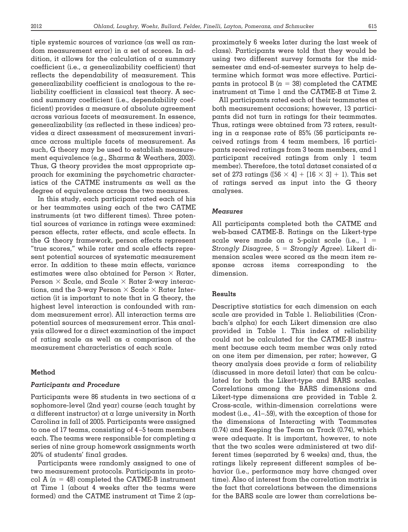tiple systemic sources of variance (as well as random measurement error) in a set of scores. In addition, it allows for the calculation of a summary coefficient (i.e., a generalizability coefficient) that reflects the dependability of measurement. This generalizability coefficient is analogous to the reliability coefficient in classical test theory. A second summary coefficient (i.e., dependability coefficient) provides a measure of absolute agreement across various facets of measurement. In essence, generalizability (as reflected in these indices) provides a direct assessment of measurement invariance across multiple facets of measurement. As such, G theory may be used to establish measurement equivalence (e.g., Sharma & Weathers, 2003). Thus, G theory provides the most appropriate approach for examining the psychometric characteristics of the CATME instruments as well as the degree of equivalence across the two measures.

In this study, each participant rated each of his or her teammates using each of the two CATME instruments (at two different times). Three potential sources of variance in ratings were examined: person effects, rater effects, and scale effects. In the G theory framework, person effects represent "true scores," while rater and scale effects represent potential sources of systematic measurement error. In addition to these main effects, variance estimates were also obtained for Person  $\times$  Rater, Person  $\times$  Scale, and Scale  $\times$  Rater 2-way interactions, and the 3-way Person  $\times$  Scale  $\times$  Rater Interaction (it is important to note that in G theory, the highest level interaction is confounded with random measurement error). All interaction terms are potential sources of measurement error. This analysis allowed for a direct examination of the impact of rating scale as well as a comparison of the measurement characteristics of each scale.

#### **Method**

# *Participants and Procedure*

Participants were 86 students in two sections of a sophomore-level (2nd year) course (each taught by a different instructor) at a large university in North Carolina in fall of 2005. Participants were assigned to one of 17 teams, consisting of 4 –5 team members each. The teams were responsible for completing a series of nine group homework assignments worth 20% of students' final grades.

Participants were randomly assigned to one of two measurement protocols. Participants in proto $col A (n = 48)$  completed the CATME-B instrument at Time 1 (about 4 weeks after the teams were formed) and the CATME instrument at Time 2 (approximately 6 weeks later during the last week of class). Participants were told that they would be using two different survey formats for the midsemester and end-of-semester surveys to help determine which format was more effective. Participants in protocol B ( $n=38$ ) completed the  $\mathtt{CATME}$ instrument at Time 1 and the CATME-B at Time 2.

All participants rated each of their teammates at both measurement occasions; however, 13 participants did not turn in ratings for their teammates. Thus, ratings were obtained from 73 raters, resulting in a response rate of 85% (56 participants received ratings from 4 team members, 16 participants received ratings from 3 team members, and 1 participant received ratings from only 1 team member). Therefore, the total dataset consisted of a set of 273 ratings ( $[56 \times 4] + [16 \times 3] + 1$ ). This set of ratings served as input into the G theory analyses.

# *Measures*

All participants completed both the CATME and web-based CATME-B. Ratings on the Likert-type scale were made on a 5-point scale (i.e.,  $l$  = *Strongly Disagree*, 5 - *Strongly Agree*). Likert dimension scales were scored as the mean item response across items corresponding to the dimension.

# **Results**

Descriptive statistics for each dimension on each scale are provided in Table 1. Reliabilities (Cronbach's alpha) for each Likert dimension are also provided in Table 1. This index of reliability could not be calculated for the CATME-B instrument because each team member was only rated on one item per dimension, per rater; however, G theory analysis does provide  $\alpha$  form of reliability (discussed in more detail later) that can be calculated for both the Likert-type and BARS scales. Correlations among the BARS dimensions and Likert-type dimensions are provided in Table 2. Cross-scale, within-dimension correlations were modest (i.e., .41–.59), with the exception of those for the dimensions of Interacting with Teammates (0.74) and Keeping the Team on Track (0.74), which were adequate. It is important, however, to note that the two scales were administered at two different times (separated by 6 weeks) and, thus, the ratings likely represent different samples of behavior (i.e., performance may have changed over time). Also of interest from the correlation matrix is the fact that correlations between the dimensions for the BARS scale are lower than correlations be-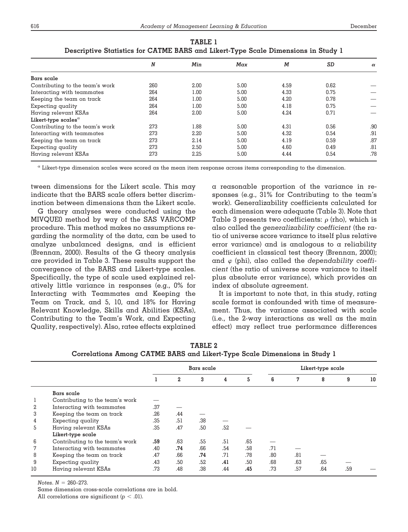|                                                   | N   | Min  | Max  | M    | SD   | $\alpha$ |
|---------------------------------------------------|-----|------|------|------|------|----------|
| <b>Bars</b> scale                                 |     |      |      |      |      |          |
| Contributing to the team's work                   | 260 | 2.00 | 5.00 | 4.59 | 0.62 |          |
| Interacting with teammates                        | 264 | 1.00 | 5.00 | 4.33 | 0.75 |          |
| Keeping the team on track                         | 264 | 1.00 | 5.00 | 4.20 | 0.78 |          |
| Expecting quality                                 | 264 | 1.00 | 5.00 | 4.18 | 0.75 |          |
| Having relevant KSAs                              | 264 | 2.00 | 5.00 | 4.24 | 0.71 |          |
| Likert-type scales <sup><math>\alpha</math></sup> |     |      |      |      |      |          |
| Contributing to the team's work                   | 273 | 1.88 | 5.00 | 4.31 | 0.56 | .90      |
| Interacting with teammates                        | 273 | 2.20 | 5.00 | 4.32 | 0.54 | .91      |
| Keeping the team on track                         | 273 | 2.14 | 5.00 | 4.19 | 0.59 | .87      |
| Expecting quality                                 | 273 | 2.50 | 5.00 | 4.60 | 0.49 | .81      |
| Having relevant KSAs                              | 273 | 2.25 | 5.00 | 4.44 | 0.54 | .78      |

**TABLE 1 Descriptive Statistics for CATME BARS and Likert-Type Scale Dimensions in Study 1**

<sup>a</sup> Likert-type dimension scales were scored as the mean item response across items corresponding to the dimension.

tween dimensions for the Likert scale. This may indicate that the BARS scale offers better discrimination between dimensions than the Likert scale.

G theory analyses were conducted using the MIVQUE0 method by way of the SAS VARCOMP procedure. This method makes no assumptions regarding the normality of the data, can be used to analyze unbalanced designs, and is efficient (Brennan, 2000). Results of the G theory analysis are provided in Table 3. These results support the convergence of the BARS and Likert-type scales. Specifically, the type of scale used explained relatively little variance in responses (e.g., 0% for Interacting with Teammates and Keeping the Team on Track, and 5, 10, and 18% for Having Relevant Knowledge, Skills and Abilities (KSAs), Contributing to the Team's Work, and Expecting Quality, respectively). Also, ratee effects explained

a reasonable proportion of the variance in responses (e.g., 31% for Contributing to the team's work). Generalizability coefficients calculated for each dimension were adequate (Table 3). Note that Table 3 presents two coefficients:  $\rho$  (rho), which is also called the *generalizability coefficient* (the ratio of universe score variance to itself plus relative error variance) and is analogous to a reliability coefficient in classical test theory (Brennan, 2000); and  $\varphi$  (phi), also called the dependability coeffi*cient* (the ratio of universe score variance to itself plus absolute error variance), which provides an index of absolute agreement.

It is important to note that, in this study, rating scale format is confounded with time of measurement. Thus, the variance associated with scale (i.e., the 2-way interactions as well as the main effect) may reflect true performance differences

**TABLE 2 Correlations Among CATME BARS and Likert-Type Scale Dimensions in Study 1**

|    |                                 | Bars scale |     |     |     |     | Likert-type scale |     |     |     |    |
|----|---------------------------------|------------|-----|-----|-----|-----|-------------------|-----|-----|-----|----|
|    |                                 |            | 2   | 3   | 4   | 5   | 6                 | 7   | 8   | 9   | 10 |
|    | Bars scale                      |            |     |     |     |     |                   |     |     |     |    |
| 1  | Contributing to the team's work |            |     |     |     |     |                   |     |     |     |    |
| 2  | Interacting with teammates      | .37        |     |     |     |     |                   |     |     |     |    |
| 3  | Keeping the team on track       | .26        | .44 |     |     |     |                   |     |     |     |    |
| 4  | Expecting quality               | .35        | .51 | .38 |     |     |                   |     |     |     |    |
| 5  | Having relevant KSAs            | .35        | .47 | .50 | .52 |     |                   |     |     |     |    |
|    | Likert-type scale               |            |     |     |     |     |                   |     |     |     |    |
| 6  | Contributing to the team's work | .59        | .63 | .55 | .51 | .65 |                   |     |     |     |    |
| 7  | Interacting with teammates      | .40        | .74 | .66 | .54 | .58 | .71               |     |     |     |    |
| 8  | Keeping the team on track       | .47        | .66 | .74 | .71 | .78 | .80               | .81 |     |     |    |
| 9  | Expecting quality               | .43        | .50 | .52 | .41 | .50 | .68               | .63 | .65 |     |    |
| 10 | Having relevant KSAs            | .73        | .48 | .38 | .44 | .45 | .73               | .57 | .64 | .59 |    |

 $N$ otes.  $N = 260 - 273$ .

Same dimension cross-scale correlations are in bold.

All correlations are significant  $(p < .01)$ .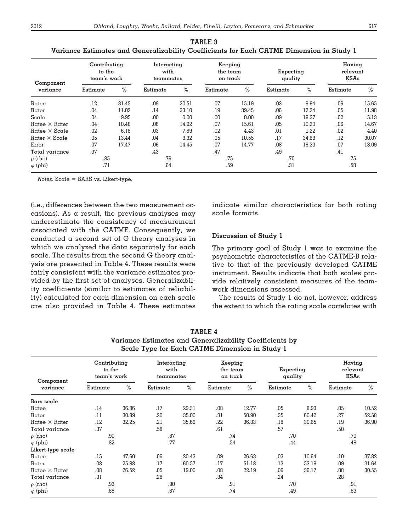|                      |                                       |       | variance estimates and Generalizability Coefficients for Each CATME Dimension in Study 1 |       |                                 |       |                      |       |                                   |       |
|----------------------|---------------------------------------|-------|------------------------------------------------------------------------------------------|-------|---------------------------------|-------|----------------------|-------|-----------------------------------|-------|
| Component            | Contributing<br>to the<br>team's work |       | Interacting<br>with<br>teammates                                                         |       | Keeping<br>the team<br>on track |       | Expecting<br>quality |       | Having<br>relevant<br><b>KSAs</b> |       |
| variance             | Estimate                              | $\%$  | Estimate                                                                                 | $\%$  | Estimate                        | $\%$  | Estimate             | $\%$  | Estimate                          | $\%$  |
| Ratee                | .12                                   | 31.45 | .09                                                                                      | 20.51 | .07                             | 15.19 | .03                  | 6.94  | .06                               | 15.65 |
| Rater                | .04                                   | 11.02 | .14                                                                                      | 33.10 | .19                             | 39.45 | .06                  | 12.24 | .05                               | 11.98 |
| Scale                | .04                                   | 9.95  | .00                                                                                      | 0.00  | .00.                            | 0.00  | .09                  | 18.37 | .02                               | 5.13  |
| Ratee $\times$ Rater | .04                                   | 10.48 | .06                                                                                      | 14.92 | .07                             | 15.61 | .05                  | 10.20 | .06                               | 14.67 |
| Ratee $\times$ Scale | .02                                   | 6.18  | .03                                                                                      | 7.69  | .02                             | 4.43  | .01                  | 1.22  | .02                               | 4.40  |
| Rater $\times$ Scale | .05                                   | 13.44 | .04                                                                                      | 9.32  | .05                             | 10.55 | .17                  | 34.69 | .12                               | 30.07 |
| Error                | .07                                   | 17.47 | .06                                                                                      | 14.45 | .07                             | 14.77 | .08                  | 16.33 | .07                               | 18.09 |
| Total variance       | .37                                   |       | .43                                                                                      |       | .47                             |       | .49                  |       | .41                               |       |
| $\rho$ (rho)         | .85                                   |       | .76                                                                                      |       | .75                             |       | .70                  |       | .75                               |       |
| $\varphi$ (phi)      | .71                                   |       | .64                                                                                      |       | .59                             |       | .31                  |       | .58                               |       |

**TABLE 3 Variance Estimates and Generalizability Coefficients for Each CATME Dimension in Study 1**

 $\n Note. \operatorname{Scale} = \operatorname{BARS}$  vs. Likert-type.

(i.e., differences between the two measurement occasions). As a result, the previous analyses may underestimate the consistency of measurement associated with the CATME. Consequently, we conducted a second set of G theory analyses in which we analyzed the data separately for each scale. The results from the second G theory analysis are presented in Table 4. These results were fairly consistent with the variance estimates provided by the first set of analyses. Generalizability coefficients (similar to estimates of reliability) calculated for each dimension on each scale are also provided in Table 4. These estimates

indicate similar characteristics for both rating scale formats.

# **Discussion of Study 1**

The primary goal of Study 1 was to examine the psychometric characteristics of the CATME-B relative to that of the previously developed CATME instrument. Results indicate that both scales provide relatively consistent measures of the teamwork dimensions assessed.

The results of Study 1 do not, however, address the extent to which the rating scale correlates with

| Component            | Contributing<br>to the<br>team's work |       | Interacting<br>with<br>teammates |       | Keeping<br>the team<br>on track |       | Expecting<br>quality |       | Having<br>relevant<br><b>KSAs</b> |       |
|----------------------|---------------------------------------|-------|----------------------------------|-------|---------------------------------|-------|----------------------|-------|-----------------------------------|-------|
| variance             | Estimate                              | $\%$  | Estimate                         | $\%$  | Estimate                        | $\%$  | Estimate             | %     | Estimate                          | $\%$  |
| Bars scale           |                                       |       |                                  |       |                                 |       |                      |       |                                   |       |
| Ratee                | .14                                   | 36.86 | .17                              | 29.31 | .08                             | 12.77 | .05                  | 8.93  | .05                               | 10.52 |
| Rater                | .11                                   | 30.89 | .20                              | 35.00 | .31                             | 50.90 | .35                  | 60.42 | .27                               | 52.58 |
| $Rate \times Rate$   | .12                                   | 32.25 | .21                              | 35.69 | .22                             | 36.33 | .18                  | 30.65 | .19                               | 36.90 |
| Total variance       | .37                                   |       | .58                              |       | .61                             |       | .57                  |       | .50                               |       |
| $\rho$ (rho)         | .90                                   |       | .87                              |       | .74                             |       | .70                  |       | .70                               |       |
| $\varphi$ (phi)      | .82                                   |       | .77                              |       | .54                             |       | .44                  |       | .48                               |       |
| Likert-type scale    |                                       |       |                                  |       |                                 |       |                      |       |                                   |       |
| Ratee                | .15                                   | 47.60 | .06                              | 20.43 | .09                             | 26.63 | .03                  | 10.64 | .10                               | 37.82 |
| Rater                | .08                                   | 25.88 | .17                              | 60.57 | .17                             | 51.18 | .13                  | 53.19 | .09                               | 31.64 |
| Ratee $\times$ Rater | .08                                   | 26.52 | .05                              | 19.00 | .08                             | 22.19 | .09                  | 36.17 | .08                               | 30.55 |
| Total variance       | .31                                   |       | .28                              |       | .34                             |       | .24                  |       | .28                               |       |
| $\rho$ (rho)         | .93                                   |       | .90                              |       | .91                             |       | .70                  |       | .91                               |       |
| $\varphi$ (phi)      | .88                                   |       | .67                              |       | .74                             |       | .49                  |       | .83                               |       |

| TABLE 4                                                 |
|---------------------------------------------------------|
| Variance Estimates and Generalizability Coefficients by |
| Scale Type for Each CATME Dimension in Study 1          |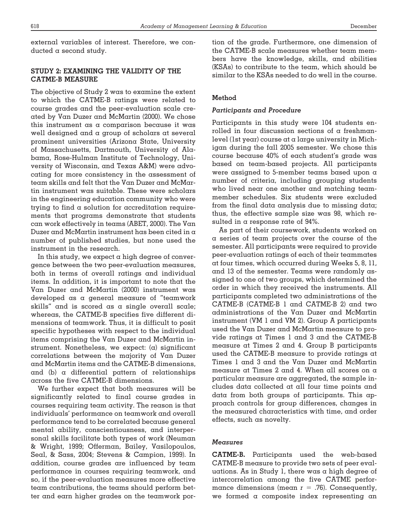external variables of interest. Therefore, we conducted a second study.

# **STUDY 2: EXAMINING THE VALIDITY OF THE CATME-B MEASURE**

The objective of Study 2 was to examine the extent to which the CATME-B ratings were related to course grades and the peer-evaluation scale created by Van Duzer and McMartin (2000). We chose this instrument as a comparison because it was well designed and a group of scholars at several prominent universities (Arizona State, University of Massachusetts, Dartmouth, University of Alabama, Rose-Hulman Institute of Technology, University of Wisconsin, and Texas A&M) were advocating for more consistency in the assessment of team skills and felt that the Van Duzer and McMartin instrument was suitable. These were scholars in the engineering education community who were trying to find a solution for accreditation requirements that programs demonstrate that students can work effectively in teams (ABET, 2000). The Van Duzer and McMartin instrument has been cited in a number of published studies, but none used the instrument in the research.

In this study, we expect  $\alpha$  high degree of convergence between the two peer-evaluation measures, both in terms of overall ratings and individual items. In addition, it is important to note that the Van Duzer and McMartin (2000) instrument was developed as a general measure of "teamwork skills" and is scored as a single overall scale; whereas, the CATME-B specifies five different dimensions of teamwork. Thus, it is difficult to posit specific hypotheses with respect to the individual items comprising the Van Duzer and McMartin instrument. Nonetheless, we expect: (a) significant correlations between the majority of Van Duzer and McMartin items and the CATME-B dimensions, and (b) a differential pattern of relationships across the five CATME-B dimensions.

We further expect that both measures will be significantly related to final course grades in courses requiring team activity. The reason is that individuals' performance on teamwork and overall performance tend to be correlated because general mental ability, conscientiousness, and interpersonal skills facilitate both types of work (Neuman & Wright, 1999; Offerman, Bailey, Vasilopoulos, Seal, & Sass, 2004; Stevens & Campion, 1999). In addition, course grades are influenced by team performance in courses requiring teamwork, and so, if the peer-evaluation measures more effective team contributions, the teams should perform better and earn higher grades on the teamwork portion of the grade. Furthermore, one dimension of the CATME-B scale measures whether team members have the knowledge, skills, and abilities (KSAs) to contribute to the team, which should be similar to the KSAs needed to do well in the course.

# **Method**

# *Participants and Procedure*

Participants in this study were 104 students enrolled in four discussion sections of a freshmanlevel (1st year) course at a large university in Michigan during the fall 2005 semester. We chose this course because 40% of each student's grade was based on team-based projects. All participants were assigned to 5-member teams based upon a number of criteria, including grouping students who lived near one another and matching teammember schedules. Six students were excluded from the final data analysis due to missing data; thus, the effective sample size was 98, which resulted in a response rate of 94%.

As part of their coursework, students worked on a series of team projects over the course of the semester. All participants were required to provide peer-evaluation ratings of each of their teammates at four times, which occurred during Weeks 5, 8, 11, and 13 of the semester. Teams were randomly assigned to one of two groups, which determined the order in which they received the instruments. All participants completed two administrations of the CATME-B (CATME-B 1 and CATME-B 2) and two administrations of the Van Duzer and McMartin instrument (VM 1 and VM 2). Group A participants used the Van Duzer and McMartin measure to provide ratings at Times 1 and 3 and the CATME-B measure at Times 2 and 4. Group B participants used the CATME-B measure to provide ratings at Times 1 and 3 and the Van Duzer and McMartin measure at Times 2 and 4. When all scores on a particular measure are aggregated, the sample includes data collected at all four time points and data from both groups of participants. This approach controls for group differences, changes in the measured characteristics with time, and order effects, such as novelty.

# *Measures*

**CATME-B.** Participants used the web-based CATME-B measure to provide two sets of peer evaluations. As in Study 1, there was a high degree of intercorrelation among the five CATME performance dimensions (mean  $r = .76$ ). Consequently, we formed a composite index representing an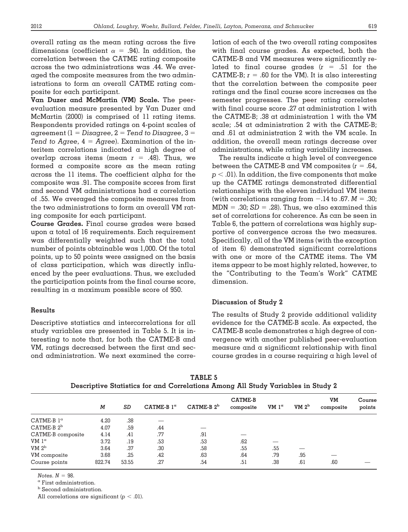overall rating as the mean rating across the five dimensions (coefficient  $\alpha$  = .94). In addition, the correlation between the CATME rating composite across the two administrations was .44. We averaged the composite measures from the two administrations to form an overall CATME rating composite for each participant.

**Van Duzer and McMartin (VM) Scale.** The peerevaluation measure presented by Van Duzer and McMartin (2000) is comprised of 11 rating items. Respondents provided ratings on 4-point scales of agreement (1 = Disagree, 2 = Tend to Disagree, 3 = Tend to Agree, 4 = Agree). Examination of the interitem correlations indicated a high degree of overlap across items (mean  $r = .48$ ). Thus, we formed a composite score as the mean rating across the 11 items. The coefficient alpha for the composite was .91. The composite scores from first and second VM administrations had a correlation of .55. We averaged the composite measures from the two administrations to form an overall VM rating composite for each participant.

**Course Grades.** Final course grades were based upon a total of 16 requirements. Each requirement was differentially weighted such that the total number of points obtainable was 1,000. Of the total points, up to 50 points were assigned on the basis of class participation, which was directly influenced by the peer evaluations. Thus, we excluded the participation points from the final course score, resulting in a maximum possible score of 950.

### **Results**

Descriptive statistics and intercorrelations for all study variables are presented in Table 5. It is interesting to note that, for both the CATME-B and VM, ratings decreased between the first and second administration. We next examined the correlation of each of the two overall rating composites with final course grades. As expected, both the CATME-B and VM measures were significantly related to final course grades  $(r = .51$  for the CATME-B;  $r = .60$  for the VM). It is also interesting that the correlation between the composite peer ratings and the final course score increases as the semester progresses. The peer rating correlates with final course score .27 at administration 1 with the CATME-B; .38 at administration 1 with the VM scale; .54 at administration 2 with the CATME-B; and .61 at administration 2 with the VM scale. In addition, the overall mean ratings decrease over administrations, while rating variability increases.

The results indicate a high level of convergence between the  $\mathtt{CATME\text{-}B}$  and VM composites ( $r = .64,$  $p < .01$ ). In addition, the five components that make up the CATME ratings demonstrated differential relationships with the eleven individual VM items (with correlations ranging from  $-.14$  to .67.  $M = .30;$  $MDN = .30; SD = .28$ ). Thus, we also examined this set of correlations for coherence. As can be seen in Table 6, the pattern of correlations was highly supportive of convergence across the two measures. Specifically, all of the VM items (with the exception of item 6) demonstrated significant correlations with one or more of the CATME items. The VM items appear to be most highly related, however, to the "Contributing to the Team's Work" CATME dimension.

#### **Discussion of Study 2**

The results of Study 2 provide additional validity evidence for the CATME-B scale. As expected, the CATME-B scale demonstrates a high degree of convergence with another published peer-evaluation measure and a significant relationship with final course grades in a course requiring a high level of

|                      | М      | SD    | CATME-B $1^{\alpha}$ | CATME-B $2b$ | CATME-B<br>composite | VM $1^{\alpha}$ | VM $2b$ | VM<br>composite | Course<br>points |
|----------------------|--------|-------|----------------------|--------------|----------------------|-----------------|---------|-----------------|------------------|
| CATME-B $1^{\alpha}$ | 4.20   | .38   |                      |              |                      |                 |         |                 |                  |
| CATME-B $2b$         | 4.07   | .59   | .44                  |              |                      |                 |         |                 |                  |
| CATME-B composite    | 4.14   | .41   | .77                  | .91          |                      |                 |         |                 |                  |
| VM $l^{\alpha}$      | 3.72   | .19   | .53                  | .53          | .62                  |                 |         |                 |                  |
| VM $2^{\rm b}$       | 3.64   | .37   | .30                  | .58          | .55                  | .55             |         |                 |                  |
| VM composite         | 3.68   | .25   | .42                  | .63          | .64                  | .79             | .95     |                 |                  |
| Course points        | 822.74 | 53.55 | .27                  | .54          | .51                  | .38             | .61     | .60             |                  |

**TABLE 5 Descriptive Statistics for and Correlations Among All Study Variables in Study 2**

 $N$ otes.  $N = 98$ .

 $\alpha$  First administration.

**b** Second administration.

All correlations are significant  $(p < .01)$ .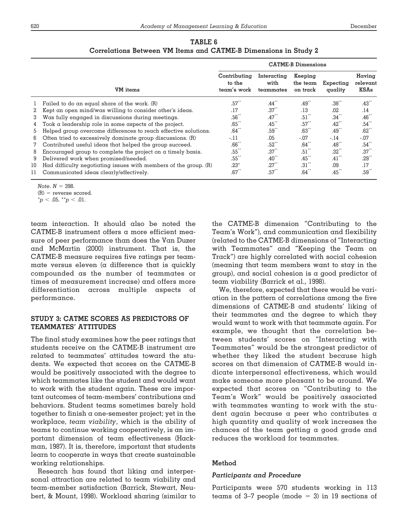|  | TABLE 6 |                                                                 |
|--|---------|-----------------------------------------------------------------|
|  |         | Correlations Between VM Items and CATME-B Dimensions in Study 2 |

|    |                                                                    | <b>CATME-B Dimensions</b>             |                                  |                                 |                      |                                   |  |
|----|--------------------------------------------------------------------|---------------------------------------|----------------------------------|---------------------------------|----------------------|-----------------------------------|--|
|    | <b>VM</b> items                                                    | Contributing<br>to the<br>team's work | Interacting<br>with<br>teammates | Keeping<br>the team<br>on track | Expecting<br>quality | Having<br>relevant<br><b>KSAs</b> |  |
|    | Failed to do an equal share of the work. $(R)$                     | .57                                   | $.44$ **                         | $.49***$                        | $.38***$             | .43 <sup>2</sup>                  |  |
|    | Kept an open mind/was willing to consider other's ideas.           | .17                                   | $.37$ <sup>**</sup>              | .13                             | .02                  | .14                               |  |
| 3  | Was fully engaged in discussions during meetings.                  | $.56$ **                              | $.47$ <sup>**</sup>              | $.51$ <sup>**</sup>             | $.34$ **             | $.46$ **                          |  |
|    | Took $\alpha$ leadership role in some aspects of the project.      | $.65$ **                              | $.45$ **                         | .57                             | $.42^{*}$            | $.54$ **                          |  |
| 5  | Helped group overcome differences to reach effective solutions.    | $.64$ <sup>*</sup>                    | $.59$ **                         | .63                             | $.49**$              | $.62$ **                          |  |
| 6  | Often tried to excessively dominate group discussions. (R)         | $-.11$                                | .05                              | $-.07$                          | $-.14$               | $-.07$                            |  |
|    | Contributed useful ideas that helped the group succeed.            | $.66$ **                              | $.52**$                          | $.64$ **                        | $.48**$              | $.54*$                            |  |
| 8  | Encouraged group to complete the project on $\alpha$ timely basis. | $.55$ **                              | $.37***$                         | $.51$ <sup>**</sup>             | $.32***$             | $.37***$                          |  |
| 9  | Delivered work when promised/needed.                               | $.55$ **                              | $.40$ **                         | $.45$ **                        | $.41$ <sup>**</sup>  | $.29$ $\degree$                   |  |
| 10 | Had difficulty negotiating issues with members of the group. $(R)$ | $.23*$                                | $.27\degree$                     | $.31$ <sup>**</sup>             | .09                  | .17                               |  |
|    | Communicated ideas clearly/effectively.                            | .67                                   | $.57$ **                         | $.64$ <sup>*</sup>              | $.45$ **             | $.59**$                           |  |

 $Note. N = 398.$ 

 $p^*p < .05$ . \*\**p*  $< .01$ .

team interaction. It should also be noted the CATME-B instrument offers a more efficient measure of peer performance than does the Van Duzer and McMartin (2000) instrument. That is, the CATME-B measure requires five ratings per teammate versus eleven ( $\alpha$  difference that is quickly compounded as the number of teammates or times of measurement increase) and offers more differentiation across multiple aspects of performance.

# **STUDY 3: CATME SCORES AS PREDICTORS OF TEAMMATES' ATTITUDES**

The final study examines how the peer ratings that students receive on the CATME-B instrument are related to teammates' attitudes toward the students. We expected that scores on the CATME-B would be positively associated with the degree to which teammates like the student and would want to work with the student again. These are important outcomes of team-members' contributions and behaviors. Student teams sometimes barely hold together to finish a one-semester project; yet in the workplace, *team viability*, which is the ability of teams to continue working cooperatively, is an important dimension of team effectiveness (Hackman, 1987). It is, therefore, important that students learn to cooperate in ways that create sustainable working relationships.

Research has found that liking and interpersonal attraction are related to team viability and team-member satisfaction (Barrick, Stewart, Neubert, & Mount, 1998). Workload sharing (similar to the CATME-B dimension "Contributing to the Team's Work"), and communication and flexibility (related to the CATME-B dimensions of "Interacting with Teammates" and "Keeping the Team on Track") are highly correlated with social cohesion (meaning that team members want to stay in the group), and social cohesion is a good predictor of team viability (Barrick et al., 1998).

We, therefore, expected that there would be variation in the pattern of correlations among the five dimensions of CATME-B and students' liking of their teammates and the degree to which they would want to work with that teammate again. For example, we thought that the correlation between students' scores on "Interacting with Teammates" would be the strongest predictor of whether they liked the student because high scores on that dimension of CATME-B would indicate interpersonal effectiveness, which would make someone more pleasant to be around. We expected that scores on "Contributing to the Team's Work" would be positively associated with teammates wanting to work with the student again because a peer who contributes a high quantity and quality of work increases the chances of the team getting a good grade and reduces the workload for teammates.

# **Method**

# *Participants and Procedure*

Participants were 570 students working in 113 teams of 3–7 people (mode  $=$  3) in 19 sections of

 $(R)$  = reverse scored.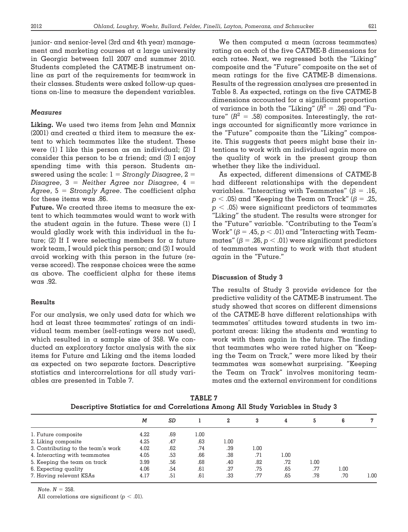junior- and senior-level (3rd and 4th year) management and marketing courses at a large university in Georgia between fall 2007 and summer 2010. Students completed the CATME-B instrument online as part of the requirements for teamwork in their classes. Students were asked follow-up questions on-line to measure the dependent variables.

# *Measures*

**Liking.** We used two items from Jehn and Mannix  $(2001)$  and created a third item to measure the extent to which teammates like the student. These were (1) I like this person as an individual; (2) I consider this person to be a friend; and  $(3)$  I enjoy spending time with this person. Students answered using the scale: 1 = Strong*ly Disagree,* 2 = *Disagree*, 3 - *Neither Agree nor Disagree*, 4 - *Agree*, 5 - *Strongly Agree*. The coefficient alpha for these items was .86.

**Future.** We created three items to measure the extent to which teammates would want to work with the student again in the future. These were (1) I would gladly work with this individual in the future; (2) If I were selecting members for  $\alpha$  future work team, I would pick this person; and (3) I would avoid working with this person in the future (reverse scored). The response choices were the same as above. The coefficient alpha for these items was .92.

# **Results**

For our analysis, we only used data for which we had at least three teammates' ratings of an individual team member (self-ratings were not used), which resulted in  $\alpha$  sample size of 358. We conducted an exploratory factor analysis with the six items for Future and Liking and the items loaded as expected on two separate factors. Descriptive statistics and intercorrelations for all study variables are presented in Table 7.

We then computed  $\alpha$  mean (across teammates) rating on each of the five CATME-B dimensions for each ratee. Next, we regressed both the "Liking" composite and the "Future" composite on the set of mean ratings for the five CATME-B dimensions. Results of the regression analyses are presented in Table 8. As expected, ratings on the five CATME-B dimensions accounted for a significant proportion of variance in both the "Liking"  $(R^2=.26)$  and "Future" ( $R^2 = .58$ ) composites. Interestingly, the ratings accounted for significantly more variance in the "Future" composite than the "Liking" composite. This suggests that peers might base their intentions to work with an individual again more on the quality of work in the present group than whether they like the individual.

As expected, different dimensions of CATME-B had different relationships with the dependent variables. "Interacting with Teammates" ( $\beta = .16$ ,  $p <$  .05) and "Keeping the Team on Track" ( $\beta$  = .25,  $p < .05$ ) were significant predictors of teammates "Liking" the student. The results were stronger for the "Future" variable. "Contributing to the Team's Work" ( $\beta$  = .45,  $p <$  .01) and "Interacting with Teammates" ( $\beta$  = .26,  $p < .01$ ) were significant predictors of teammates wanting to work with that student again in the "Future."

#### **Discussion of Study 3**

The results of Study 3 provide evidence for the predictive validity of the CATME-B instrument. The study showed that scores on different dimensions of the CATME-B have different relationships with teammates' attitudes toward students in two important areas: liking the students and wanting to work with them again in the future. The finding that teammates who were rated higher on "Keeping the Team on Track," were more liked by their teammates was somewhat surprising. "Keeping the Team on Track" involves monitoring teammates and the external environment for conditions

| TABLE 7                                                                          |  |
|----------------------------------------------------------------------------------|--|
| Descriptive Statistics for and Correlations Among All Study Variables in Study 3 |  |

| М<br>SD<br>2<br>3<br>6<br>4<br>4.22<br>.69<br>1.00<br>l. Future composite<br>4.25<br>2. Liking composite<br>.63<br>.47<br>1.00<br>3. Contributing to the team's work<br>4.02<br>.62<br>.39<br>.74<br>1.00<br>4. Interacting with teammates<br>4.05<br>.66<br>.53<br>.38<br>.71<br>$1.00\,$<br>3.99<br>.72<br>5. Keeping the team on track<br>.56<br>.68<br>.82<br>1.00<br>.40<br>.37<br>.77<br>4.06<br>.61<br>.75<br>.65<br>6. Expecting quality<br>.54<br>1.00<br>7. Having relevant KSAs<br>4.17<br>.65<br>.51<br>.77<br>.70<br>.61<br>.33<br>.78 |  |  |  |  |      |
|-----------------------------------------------------------------------------------------------------------------------------------------------------------------------------------------------------------------------------------------------------------------------------------------------------------------------------------------------------------------------------------------------------------------------------------------------------------------------------------------------------------------------------------------------------|--|--|--|--|------|
|                                                                                                                                                                                                                                                                                                                                                                                                                                                                                                                                                     |  |  |  |  |      |
|                                                                                                                                                                                                                                                                                                                                                                                                                                                                                                                                                     |  |  |  |  |      |
|                                                                                                                                                                                                                                                                                                                                                                                                                                                                                                                                                     |  |  |  |  |      |
|                                                                                                                                                                                                                                                                                                                                                                                                                                                                                                                                                     |  |  |  |  |      |
|                                                                                                                                                                                                                                                                                                                                                                                                                                                                                                                                                     |  |  |  |  |      |
|                                                                                                                                                                                                                                                                                                                                                                                                                                                                                                                                                     |  |  |  |  |      |
|                                                                                                                                                                                                                                                                                                                                                                                                                                                                                                                                                     |  |  |  |  |      |
|                                                                                                                                                                                                                                                                                                                                                                                                                                                                                                                                                     |  |  |  |  | 1.00 |

 $Note. N = 358.$ 

All correlations are significant  $(p < .01)$ .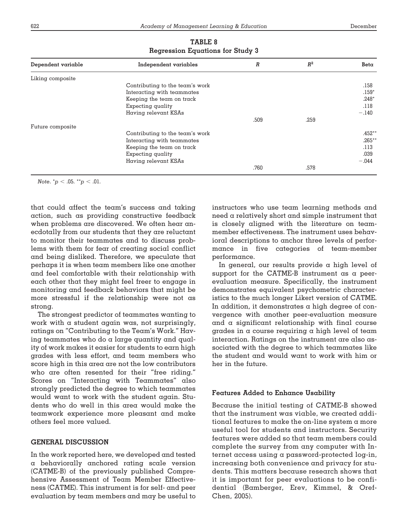| Dependent variable | Independent variables           | R    | $R^2$ | Beta      |
|--------------------|---------------------------------|------|-------|-----------|
| Liking composite   |                                 |      |       |           |
|                    | Contributing to the team's work |      |       | .158      |
|                    | Interacting with teammates      |      |       | $.159*$   |
|                    | Keeping the team on track       |      |       | $.248*$   |
|                    | Expecting quality               |      |       | .118      |
|                    | Having relevant KSAs            |      |       | $-.140$   |
|                    |                                 | .509 | .259  |           |
| Future composite   |                                 |      |       |           |
|                    | Contributing to the team's work |      |       | $.452**$  |
|                    | Interacting with teammates      |      |       | $.265***$ |
|                    | Keeping the team on track       |      |       | .113      |
|                    | Expecting quality               |      |       | .039      |
|                    | Having relevant KSAs            |      |       | $-.044$   |
|                    |                                 | .760 | .578  |           |

**TABLE 8 Regression Equations for Study 3**

*Note.*  $p < .05$ . \*\* $p < .01$ .

that could affect the team's success and taking action, such as providing constructive feedback when problems are discovered. We often hear anecdotally from our students that they are reluctant to monitor their teammates and to discuss problems with them for fear of creating social conflict and being disliked. Therefore, we speculate that perhaps it is when team members like one another and feel comfortable with their relationship with each other that they might feel freer to engage in monitoring and feedback behaviors that might be more stressful if the relationship were not as strong.

The strongest predictor of teammates wanting to work with a student again was, not surprisingly, ratings on "Contributing to the Team's Work." Having teammates who do a large quantity and quality of work makes it easier for students to earn high grades with less effort, and team members who score high in this area are not the low contributors who are often resented for their "free riding." Scores on "Interacting with Teammates" also strongly predicted the degree to which teammates would want to work with the student again. Students who do well in this area would make the teamwork experience more pleasant and make others feel more valued.

# **GENERAL DISCUSSION**

In the work reported here, we developed and tested a behaviorally anchored rating scale version (CATME-B) of the previously published Comprehensive Assessment of Team Member Effectiveness (CATME). This instrument is for self- and peer evaluation by team members and may be useful to instructors who use team learning methods and need a relatively short and simple instrument that is closely aligned with the literature on teammember effectiveness. The instrument uses behavioral descriptions to anchor three levels of performance in five categories of team-member performance.

In general, our results provide a high level of support for the CATME-B instrument as a peerevaluation measure. Specifically, the instrument demonstrates equivalent psychometric characteristics to the much longer Likert version of CATME. In addition, it demonstrates a high degree of convergence with another peer-evaluation measure and a significant relationship with final course grades in a course requiring a high level of team interaction. Ratings on the instrument are also associated with the degree to which teammates like the student and would want to work with him or her in the future.

# **Features Added to Enhance Usability**

Because the initial testing of CATME-B showed that the instrument was viable, we created additional features to make the on-line system a more useful tool for students and instructors. Security features were added so that team members could complete the survey from any computer with Internet access using a password-protected log-in, increasing both convenience and privacy for students. This matters because research shows that it is important for peer evaluations to be confidential (Bamberger, Erev, Kimmel, & Oref-Chen, 2005).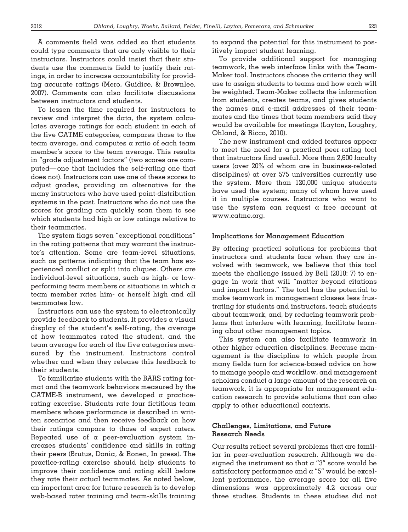A comments field was added so that students could type comments that are only visible to their instructors. Instructors could insist that their students use the comments field to justify their ratings, in order to increase accountability for providing accurate ratings (Mero, Guidice, & Brownlee, 2007). Comments can also facilitate discussions between instructors and students.

To lessen the time required for instructors to review and interpret the data, the system calculates average ratings for each student in each of the five CATME categories, compares those to the team average, and computes a ratio of each team member's score to the team average. This results in "grade adjustment factors" (two scores are computed— one that includes the self-rating one that does not). Instructors can use one of these scores to adjust grades, providing an alternative for the many instructors who have used point-distribution systems in the past. Instructors who do not use the scores for grading can quickly scan them to see which students had high or low ratings relative to their teammates.

The system flags seven "exceptional conditions" in the rating patterns that may warrant the instructor's attention. Some are team-level situations, such as patterns indicating that the team has experienced conflict or split into cliques. Others are individual-level situations, such as high- or lowperforming team members or situations in which a team member rates him- or herself high and all teammates low.

Instructors can use the system to electronically provide feedback to students. It provides a visual display of the student's self-rating, the average of how teammates rated the student, and the team average for each of the five categories measured by the instrument. Instructors control whether and when they release this feedback to their students.

To familiarize students with the BARS rating format and the teamwork behaviors measured by the CATME-B instrument, we developed a practicerating exercise. Students rate four fictitious team members whose performance is described in written scenarios and then receive feedback on how their ratings compare to those of expert raters. Repeated use of a peer-evaluation system increases students' confidence and skills in rating their peers (Brutus, Donia, & Ronen, In press). The practice-rating exercise should help students to improve their confidence and rating skill before they rate their actual teammates. As noted below, an important area for future research is to develop web-based rater training and team-skills training to expand the potential for this instrument to positively impact student learning.

To provide additional support for managing teamwork, the web interface links with the Team-Maker tool. Instructors choose the criteria they will use to assign students to teams and how each will be weighted. Team-Maker collects the information from students, creates teams, and gives students the names and e-mail addresses of their teammates and the times that team members said they would be available for meetings (Layton, Loughry, Ohland, & Ricco, 2010).

The new instrument and added features appear to meet the need for a practical peer-rating tool that instructors find useful. More than 2,600 faculty users (over 20% of whom are in business-related disciplines) at over 575 universities currently use the system. More than 120,000 unique students have used the system; many of whom have used it in multiple courses. Instructors who want to use the system can request a free account at www.catme.org.

#### **Implications for Management Education**

By offering practical solutions for problems that instructors and students face when they are involved with teamwork, we believe that this tool meets the challenge issued by Bell (2010: 7) to engage in work that will "matter beyond citations and impact factors." The tool has the potential to make teamwork in management classes less frustrating for students and instructors, teach students about teamwork, and, by reducing teamwork problems that interfere with learning, facilitate learning about other management topics.

This system can also facilitate teamwork in other higher education disciplines. Because management is the discipline to which people from many fields turn for science-based advice on how to manage people and workflow, and management scholars conduct a large amount of the research on teamwork, it is appropriate for management education research to provide solutions that can also apply to other educational contexts.

# **Challenges, Limitations, and Future Research Needs**

Our results reflect several problems that are familiar in peer-evaluation research. Although we designed the instrument so that  $\alpha$  "3" score would be satisfactory performance and a "5" would be excellent performance, the average score for all five dimensions was approximately 4.2 across our three studies. Students in these studies did not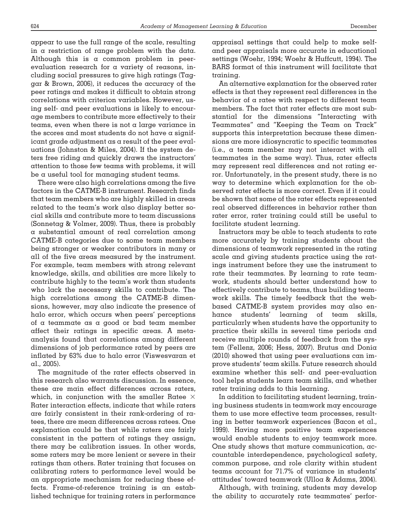appear to use the full range of the scale, resulting in a restriction of range problem with the data. Although this is a common problem in peerevaluation research for a variety of reasons, including social pressures to give high ratings (Taggar & Brown, 2006), it reduces the accuracy of the peer ratings and makes it difficult to obtain strong correlations with criterion variables. However, using self- and peer evaluations is likely to encourage members to contribute more effectively to their teams, even when there is not a large variance in the scores and most students do not have a significant grade adjustment as a result of the peer evaluations (Johnston & Miles, 2004). If the system deters free riding and quickly draws the instructors' attention to those few teams with problems, it will be a useful tool for managing student teams.

There were also high correlations among the five factors in the CATME-B instrument. Research finds that team members who are highly skilled in areas related to the team's work also display better social skills and contribute more to team discussions (Sonnetag & Volmer, 2009). Thus, there is probably a substantial amount of real correlation among CATME-B categories due to some team members being stronger or weaker contributors in many or all of the five areas measured by the instrument. For example, team members with strong relevant knowledge, skills, and abilities are more likely to contribute highly to the team's work than students who lack the necessary skills to contribute. The high correlations among the CATME-B dimensions, however, may also indicate the presence of halo error, which occurs when peers' perceptions of a teammate as a good or bad team member affect their ratings in specific areas. A metaanalysis found that correlations among different dimensions of job performance rated by peers are inflated by 63% due to halo error (Viswesvaran et al., 2005).

The magnitude of the rater effects observed in this research also warrants discussion. In essence, these are main effect differences across raters, which, in conjunction with the smaller Ratee  $\times$ Rater interaction effects, indicate that while raters are fairly consistent in their rank-ordering of ratees, there are mean differences across ratees. One explanation could be that while raters are fairly consistent in the pattern of ratings they assign, there may be calibration issues. In other words, some raters may be more lenient or severe in their ratings than others. Rater training that focuses on calibrating raters to performance level would be an appropriate mechanism for reducing these effects. Frame-of-reference training is an established technique for training raters in performance appraisal settings that could help to make selfand peer appraisals more accurate in educational settings (Woehr, 1994; Woehr & Huffcutt, 1994). The BARS format of this instrument will facilitate that training.

An alternative explanation for the observed rater effects is that they represent real differences in the behavior of a ratee with respect to different team members. The fact that rater effects are most substantial for the dimensions "Interacting with Teammates" and "Keeping the Team on Track" supports this interpretation because these dimensions are more idiosyncratic to specific teammates (i.e., a team member may not interact with all teammates in the same way). Thus, rater effects may represent real differences and not rating error. Unfortunately, in the present study, there is no way to determine which explanation for the observed rater effects is more correct. Even if it could be shown that some of the rater effects represented real observed differences in behavior rather than rater error, rater training could still be useful to facilitate student learning.

Instructors may be able to teach students to rate more accurately by training students about the dimensions of teamwork represented in the rating scale and giving students practice using the ratings instrument before they use the instrument to rate their teammates. By learning to rate teamwork, students should better understand how to effectively contribute to teams, thus building teamwork skills. The timely feedback that the webbased CATME-B system provides may also enhance students' learning of team skills, particularly when students have the opportunity to practice their skills in several time periods and receive multiple rounds of feedback from the system (Fellenz, 2006; Hess, 2007). Brutus and Donia (2010) showed that using peer evaluations can improve students' team skills. Future research should examine whether this self- and peer-evaluation tool helps students learn team skills, and whether rater training adds to this learning.

In addition to facilitating student learning, training business students in teamwork may encourage them to use more effective team processes, resulting in better teamwork experiences (Bacon et al., 1999). Having more positive team experiences would enable students to enjoy teamwork more. One study shows that mature communication, accountable interdependence, psychological safety, common purpose, and role clarity within student teams account for 71.7% of variance in students' attitudes' toward teamwork (Ulloa & Adams, 2004).

Although, with training, students may develop the ability to accurately rate teammates' perfor-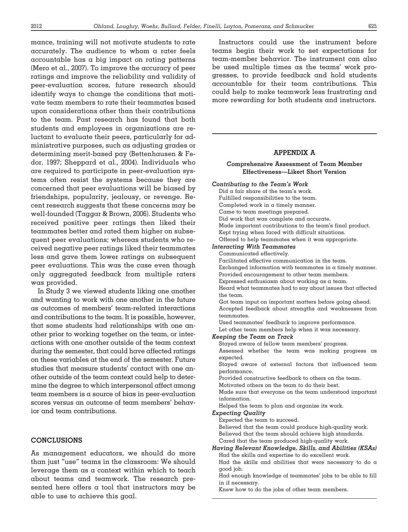mance, training will not motivate students to rate accurately. The audience to whom a rater feels accountable has a big impact on rating patterns (Mero et al., 2007). To improve the accuracy of peer ratings and improve the reliability and validity of peer-evaluation scores, future research should identify ways to change the conditions that motivate team members to rate their teammates based upon considerations other than their contributions to the team. Past research has found that both students and employees in organizations are reluctant to evaluate their peers, particularly for administrative purposes, such as adjusting grades or determining merit-based pay (Bettenhausen & Fedor, 1997; Sheppard et al., 2004). Individuals who are required to participate in peer-evaluation systems often resist the systems because they are concerned that peer evaluations will be biased by friendships, popularity, jealousy, or revenge. Recent research suggests that these concerns may be well-founded (Taggar & Brown, 2006). Students who received positive peer ratings then liked their teammates better and rated them higher on subsequent peer evaluations; whereas students who received negative peer ratings liked their teammates less and gave them lower ratings on subsequent peer evaluations. This was the case even though only aggregated feedback from multiple raters was provided.

In Study 3 we viewed students liking one another and wanting to work with one another in the future as outcomes of members' team-related interactions and contributions to the team. It is possible, however, that some students had relationships with one another prior to working together on the team, or interactions with one another outside of the team context during the semester, that could have affected ratings on these variables at the end of the semester. Future studies that measure students' contact with one another outside of the team context could help to determine the degree to which interpersonal affect among team members is a source of bias in peer-evaluation scores versus an outcome of team members' behavior and team contributions.

# **CONCLUSIONS**

As management educators, we should do more than just "use" teams in the classroom: We should leverage them as a context within which to teach about teams and teamwork. The research presented here offers  $\alpha$  tool that instructors may be able to use to achieve this goal.

Instructors could use the instrument before teams begin their work to set expectations for team-member behavior. The instrument can also be used multiple times as the teams' work progresses, to provide feedback and hold students accountable for their team contributions. This could help to make teamwork less frustrating and more rewarding for both students and instructors.

# **APPENDIX A**

#### **Comprehensive Assessment of Team Member Effectiveness—Likert Short Version**

*Contributing to the Team's Work* Did a fair share of the team's work. Fulfilled responsibilities to the team. Completed work in a timely manner. Came to team meetings prepared. Did work that was complete and accurate. Made important contributions to the team's final product. Kept trying when faced with difficult situations. Offered to help teammates when it was appropriate. *Interacting With Teammates* Communicated effectively. Facilitated effective communication in the team. Exchanged information with teammates in a timely manner. Provided encouragement to other team members. Expressed enthusiasm about working as a team. Heard what teammates had to say about issues that affected the team. Got team input on important matters before going ahead. Accepted feedback about strengths and weaknesses from teammates. Used teammates' feedback to improve performance. Let other team members help when it was necessary. *Keeping the Team on Track* Stayed aware of fellow team members' progress. Assessed whether the team was making progress as expected. Stayed aware of external factors that influenced team performance. Provided constructive feedback to others on the team. Motivated others on the team to do their best. Made sure that everyone on the team understood important information. Helped the team to plan and organize its work. *Expecting Quality* Expected the team to succeed. Believed that the team could produce high-quality work. Believed that the team should achieve high standards. Cared that the team produced high-quality work. *Having Relevant Knowledge, Skills, and Abilities (KSAs)* Had the skills and expertise to do excellent work. Had the skills and abilities that were necessary to do a good job. Had enough knowledge of teammates' jobs to be able to fill in if necessary. Knew how to do the jobs of other team members.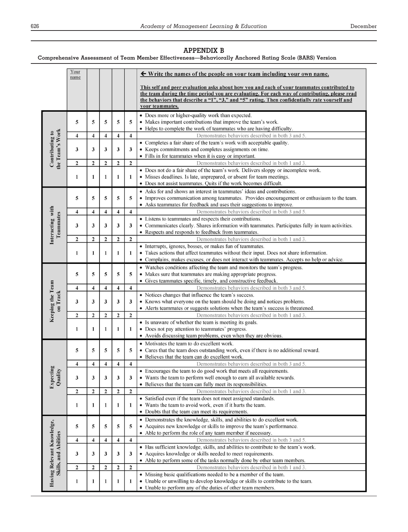#### Your  $\leftarrow$  Write the names of the people on your team including your own name. name This self and peer evaluation asks about how you and each of your teammates contributed to the team during the time period you are evaluating. For each way of contributing, please read the behaviors that describe a "1", "3," and "5" rating. Then confidentially rate yourself and your teammates. • Does more or higher-quality work than expected. 5 5 5 5 5 • Makes important contributions that improve the team's work. • Helps to complete the work of teammates who are having difficulty. Contributing to<br>the Team's Work Demonstrates behaviors described in both 3 and 5  $\overline{4}$  $\overline{\mathbf{A}}$  $\overline{\mathbf{4}}$  $\overline{\mathbf{4}}$  $\overline{\mathbf{4}}$ • Completes a fair share of the team's work with acceptable quality.  $\overline{\mathbf{3}}$  $\overline{\mathbf{3}}$  $\overline{\mathbf{3}}$  $\overline{\mathbf{3}}$  $\mathbf{3}$ • Keeps commitments and completes assignments on time. • Fills in for teammates when it is easy or important.  $\overline{2}$  $\overline{2}$  $\overline{2}$  $\overline{2}$  $\overline{2}$ Demonstrates behaviors described in both 1 and 3 • Does not do a fair share of the team's work. Delivers sloppy or incomplete work.  $\mathbf{1}$  $\overline{1}$  $\mathbf{1}$  $\mathbf{1}$  $\mathbf{1}$ • Misses deadlines. Is late, unprepared, or absent for team meetings. • Does not assist teammates. Ouits if the work becomes difficult. • Asks for and shows an interest in teammates' ideas and contributions. 5 5 5 5 5 • Improves communication among teammates. Provides encouragement or enthusiasm to the team. • Asks teammates for feedback and uses their suggestions to improve. Interacting with  $\overline{\mathbf{4}}$  $\overline{4}$  $\overline{4}$  $\overline{4}$  $\overline{4}$ Demonstrates behaviors described in both 3 and 5 Teammates • Listens to teammates and respects their contributions.  $\overline{\mathbf{3}}$  $\mathbf{3}$  $\mathbf{3}$  $\overline{\mathbf{3}}$  $\mathbf{3}$ • Communicates clearly. Shares information with teammates. Participates fully in team activities. • Respects and responds to feedback from teammates. Demonstrates behaviors described in both 1 and 3.  $\overline{2}$  $\overline{2}$  $\overline{2}$  $\mathbf 2$  $\overline{2}$ • Interrupts, ignores, bosses, or makes fun of teammates.  $\mathbf{1}$  $\mathbf{1}$  $\mathbf{1}$ • Takes actions that affect teammates without their input. Does not share information.  $\mathbf{1}$  $\mathbf{1}$ • Complains, makes excuses, or does not interact with teammates. Accepts no help or advice. • Watches conditions affecting the team and monitors the team's progress. 5  $\overline{5}$ 5 • Makes sure that teammates are making appropriate progress. 5 5 • Gives teammates specific, timely, and constructive feedback. Keeping the Team  $\overline{\mathbf{4}}$  $\overline{\mathbf{4}}$  $\overline{4}$  $\overline{\mathbf{4}}$  $\overline{4}$ Demonstrates behaviors described in both 3 and 5 on Track • Notices changes that influence the team's success.  $\mathbf{3}$  $\mathbf{3}$  $\mathbf{3}$  $\mathbf{3}$  $\overline{\mathbf{3}}$ • Knows what everyone on the team should be doing and notices problems. • Alerts teammates or suggests solutions when the team's success is threatened.  $\overline{2}$  $\overline{2}$  $\overline{2}$  $\overline{2}$  $\overline{2}$ Demonstrates behaviors described in both 1 and 3. • Is unaware of whether the team is meeting its goals.  $\mathbf{1}$  $\mathbf{1}$  $\mathbf{1}$  $\mathbf{1}$ • Does not pay attention to teammates' progress.  $\mathbf{1}$ • Avoids discussing team problems, even when they are obvious. • Motivates the team to do excellent work. 5 5 5 5 5 • Cares that the team does outstanding work, even if there is no additional reward. • Believes that the team can do excellent work.  $\overline{\mathbf{4}}$  $\overline{\mathbf{4}}$  $\overline{\mathbf{4}}$  $\overline{\mathbf{4}}$  $\overline{\mathbf{4}}$ Demonstrates behaviors described in both 3 and 5. Expecting<br>Quality • Encourages the team to do good work that meets all requirements.  $\mathbf{3}$  $\mathbf{3}$  $\mathbf{3}$  $\mathbf{3}$  $\mathbf{3}$ • Wants the team to perform well enough to earn all available rewards. • Believes that the team can fully meet its responsibilities.  $\overline{2}$  $\overline{2}$  $\overline{2}$  $\overline{2}$  $\overline{2}$ Demonstrates behaviors described in both 1 and 3. • Satisfied even if the team does not meet assigned standards.  $\mathbf{1}$  $\mathbf{1}$  $\mathbf{1}$  $\mathbf{1}$  $\mathbf{1}$ • Wants the team to avoid work, even if it hurts the team. • Doubts that the team can meet its requirements. • Demonstrates the knowledge, skills, and abilities to do excellent work. Having Relevant Knowledge, 5 5 5 5 5 • Acquires new knowledge or skills to improve the team's performance. Skills, and Abilities • Able to perform the role of any team member if necessary.  $\overline{4}$  $\overline{4}$  $\overline{4}$  $\overline{4}$  $\overline{\mathbf{4}}$ Demonstrates behaviors described in both 3 and 5 • Has sufficient knowledge, skills, and abilities to contribute to the team's work.  $\mathbf{3}$  $\mathbf{3}$  $\overline{\mathbf{3}}$  $\mathbf{3}$ • Acquires knowledge or skills needed to meet requirements.  $\mathbf{3}$ • Able to perform some of the tasks normally done by other team members.  $\overline{2}$  $\overline{2}$  $\overline{2}$  $\overline{2}$  $\overline{2}$ Demonstrates behaviors described in both 1 and 3 • Missing basic qualifications needed to be a member of the team.  $\mathbf{1}$  $\mathbf{1}$  $\mathbf 1$  $\mathbf{I}$ • Unable or unwilling to develop knowledge or skills to contribute to the team.  $\mathbf{1}$ • Unable to perform any of the duties of other team members

# **APPENDIX B**

**Comprehensive Assessment of Team Member Effectiveness—Behaviorally Anchored Rating Scale (BARS) Version**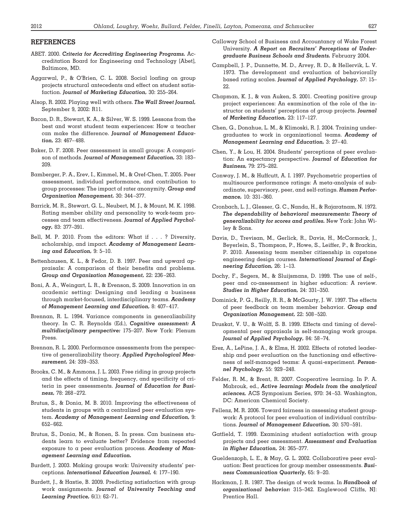# **REFERENCES**

- ABET. 2000. *Criteria for Accrediting Engineering Programs.* Accreditation Board for Engineering and Technology [Abet], Baltimore, MD.
- Aggarwal, P., & O'Brien, C. L. 2008. Social loafing on group projects structural antecedents and effect on student satisfaction. *Journal of Marketing Education,* 30: 255–264.
- Alsop, R. 2002. Playing well with others. *The Wall Street Journal,* September 9, 2002: R11.
- Bacon, D. R., Stewart, K. A., & Silver, W. S. 1999. Lessons from the best and worst student team experiences: How a teacher can make the difference. *Journal of Management Education,* 23: 467– 488.
- Baker, D. F. 2008. Peer assessment in small groups: A comparison of methods. *Journal of Management Education,* 33: 183– 209.
- Bamberger, P. A., Erev, I., Kimmel, M., & Oref-Chen, T. 2005. Peer assessment, individual performance, and contribution to group processes: The impact of rater anonymity. *Group and Organization Management,* 30: 344 –377.
- Barrick, M. R., Stewart, G. L., Neubert, M. J., & Mount, M. K. 1998. Rating member ability and personality to work-team processes and team effectiveness. *Journal of Applied Psychology,* 83: 377–391.
- Bell, M. P. 2010. From the editors: What if...? Diversity, scholarship, and impact. *Academy of Management Learning and Education,* 9: 5–10.
- Bettenhausen, K. L., & Fedor, D. B. 1997. Peer and upward appraisals: A comparison of their benefits and problems. *Group and Organization Management,* 22: 236 –263.
- Boni, A. A., Weingart, L. R., & Evenson, S. 2009. Innovation in an academic setting: Designing and leading a business through market-focused, interdisciplinary teams. *Academy of Management Learning and Education,* 8: 407– 417.
- Brennan, R. L. 1994. Variance components in generalizability theory. In C. R. Reynolds (Ed.), *Cognitive assessment: A multidisciplinary perspective:* 175–207. New York: Plenum Press.
- Brennan, R. L. 2000. Performance assessments from the perspective of generalizability theory. *Applied Psychological Measurement,* 24: 339 –353.
- Brooks, C. M., & Ammons, J. L. 2003. Free riding in group projects and the effects of timing, frequency, and specificity of criteria in peer assessments. *Journal of Education for Business,* 78: 268 –272.
- Brutus, S., & Donia, M. B. 2010. Improving the effectiveness of students in groups with a centralized peer evaluation system. *Academy of Management Learning and Education,* 9: 652– 662.
- Brutus, S., Donia, M., & Ronen, S. In press. Can business students learn to evaluate better? Evidence from repeated exposure to a peer evaluation process. *Academy of Management Learning and Education.*
- Burdett, J. 2003. Making groups work: University students' perceptions. *International Education Journal,* 4: 177–190.
- Burdett, J., & Hastie, B. 2009. Predicting satisfaction with group work assignments. *Journal of University Teaching and Learning Practice,* 6(1): 62–71.
- Calloway School of Business and Accountancy of Wake Forest University. *A Report on Recruiters' Perceptions of Undergraduate Business Schools and Students.* February 2004.
- Campbell, J. P., Dunnette, M. D., Arvey, R. D., & Hellervik, L. V. 1973. The development and evaluation of behaviorally based rating scales. *Journal of Applied Psychology,* 57: 15– 22.
- Chapman, K. J., & van Auken, S. 2001. Creating positive group project experiences: An examination of the role of the instructor on students' perceptions of group projects. *Journal of Marketing Education,* 23: 117–127.
- Chen, G., Donahue, L. M., & Klimoski, R. J. 2004. Training undergraduates to work in organizational teams. *Academy of Management Learning and Education,* 3: 27– 40.
- Chen, Y., & Lou, H. 2004. Students' perceptions of peer evaluation: An expectancy perspective. *Journal of Education for Business,* 79: 275–282.
- Conway, J. M., & Huffcutt, A. I. 1997. Psychometric properties of multisource performance ratings: A meta-analysis of subordinate, supervisory, peer, and self-ratings. *Human Performance,* 10: 331–360.
- Cronbach, L. J., Glesser, G. C., Nanda, H., & Rajaratnam, N. 1972. *The dependability of behavioral measurements: Theory of generalizability for scores and profiles.* New York: John Wiley & Sons.
- Davis, D., Trevisan, M., Gerlick, R., Davis, H., McCormack, J., Beyerlein, S., Thompson, P., Howe, S., Leiffer, P., & Brackin, P. 2010. Assessing team member citizenship in capstone engineering design courses. *International Journal of Engineering Education,* 26: 1–13.
- Dochy, F., Segers, M., & Sluijsmans, D. 1999. The use of self-, peer and co-assessment in higher education: A review. *Studies in Higher Education,* 24: 331–350.
- Dominick, P. G., Reilly, R. R., & McGourty, J. W. 1997. The effects of peer feedback on team member behavior. *Group and Organization Management,* 22: 508 –520.
- Druskat, V. U., & Wolff, S. B. 1999. Effects and timing of developmental peer appraisals in self-managing work groups. *Journal of Applied Psychology,* 84: 58 –74.
- Erez, A., LePine, J. A., & Elms, H. 2002. Effects of rotated leadership and peer evaluation on the functioning and effectiveness of self-managed teams: A quasi-experiment. *Personnel Psychology,* 55: 929 –248.
- Felder, R. M., & Brent, R. 2007. Cooperative learning. In P. A. Mabrouk, ed., *Active learning: Models from the analytical sciences,* ACS Symposium Series, 970: 34 –53. Washington, DC: American Chemical Society.
- Fellenz, M. R. 2006. Toward fairness in assessing student groupwork: A protocol for peer evaluation of individual contributions. *Journal of Management Education,* 30: 570 –591.
- Gatfield, T. 1999. Examining student satisfaction with group projects and peer assessment. *Assessment and Evaluation in Higher Education,* 24: 365–377.
- Gueldenzoph, L. E., & May, G. L. 2002. Collaborative peer evaluation: Best practices for group member assessments. *Business Communication Quarterly,* 65: 9 –20.
- Hackman, J. R. 1987. The design of work teams. In *Handbook of organizational behavior:* 315–342. Englewood Cliffs, NJ: Prentice Hall.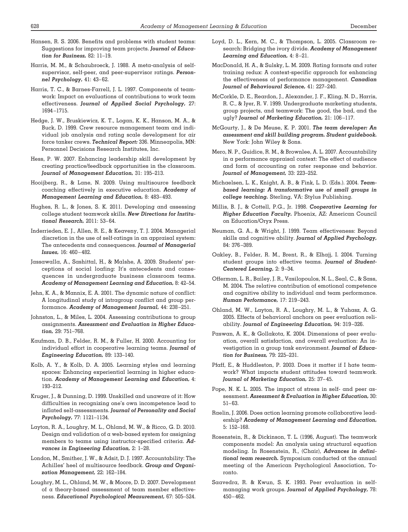- Hansen, R. S. 2006. Benefits and problems with student teams: Suggestions for improving team projects. *Journal of Education for Business,* 82: 11–19.
- Harris, M. M., & Schaubroeck, J. 1988. A meta-analysis of selfsupervisor, self-peer, and peer-supervisor ratings. *Personnel Psychology,* 41: 43– 62.
- Harris, T. C., & Barnes-Farrell, J. L. 1997. Components of teamwork: Impact on evaluations of contributions to work team effectiveness. *Journal of Applied Social Psychology,* 27: 1694 –1715.
- Hedge, J. W., Bruskiewicz, K. T., Logan, K. K., Hanson, M. A., & Buck, D. 1999. Crew resource management team and individual job analysis and rating scale development for air force tanker crews. *Technical Report:* 336. Minneapolis, MN: Personnel Decisions Research Institutes, Inc.
- Hess, P. W. 2007. Enhancing leadership skill development by creating practice/feedback opportunities in the classroom. *Journal of Management Education,* 31: 195–213.
- Hooijberg, R., & Lane, N. 2009. Using multisource feedback coaching effectively in executive education. *Academy of Management Learning and Education,* 8: 483– 493.
- Hughes, R. L., & Jones, S. K. 2011. Developing and assessing college student teamwork skills. *New Directions for Institutional Research,* 2011: 53– 64.
- Inderrieden, E. J., Allen, R. E., & Keaveny, T. J. 2004. Managerial discretion in the use of self-ratings in an appraisal system: The antecedents and consequences. *Journal of Managerial Issues,* 16: 460 – 482.
- Jassawalla, A., Sashittal, H., & Malshe, A. 2009. Students' perceptions of social loafing: It's antecedents and consequences in undergraduate business classroom teams. *Academy of Management Learning and Education,* 8: 42–54.
- Jehn, K. A., & Mannix, E. A. 2001. The dynamic nature of conflict: A longitudinal study of intragroup conflict and group performance. *Academy of Management Journal,* 44: 238 –251.
- Johnston, L., & Miles, L. 2004. Assessing contributions to group assignments. *Assessment and Evaluation in Higher Education,* 29: 751–768.
- Kaufman, D. B., Felder, R. M., & Fuller, H. 2000. Accounting for individual effort in cooperative learning teams. *Journal of Engineering Education,* 89: 133–140.
- Kolb, A. Y., & Kolb, D. A. 2005. Learning styles and learning spaces: Enhancing experiential learning in higher education. *Academy of Management Learning and Education,* 4: 193–212.
- Kruger, J., & Dunning, D. 1999. Unskilled and unaware of it: How difficulties in recognizing one's own incompetence lead to inflated self-assessments. *Journal of Personality and Social Psychology,* 77: 1121–1134.
- Layton, R. A., Loughry, M. L., Ohland, M. W., & Ricco, G. D. 2010. Design and validation of  $\alpha$  web-based system for assigning members to teams using instructor-specified criteria. *Advances in Engineering Education,* 2: 1–28.
- London, M., Smither, J. W., & Adsit, D. J. 1997. Accountability: The Achilles' heel of multisource feedback. *Group and Organization Management,* 22: 162–184.
- Loughry, M. L., Ohland, M. W., & Moore, D. D. 2007. Development of a theory-based assessment of team member effectiveness. *Educational Psychological Measurement,* 67: 505–524.
- Loyd, D. L., Kern, M. C., & Thompson, L. 2005. Classroom research: Bridging the ivory divide. *Academy of Management Learning and Education,* 4: 8 –21.
- MacDonald, H. A., & Sulsky, L. M. 2009. Rating formats and rater training redux: A context-specific approach for enhancing the effectiveness of performance management. *Canadian Journal of Behavioural Science,* 41: 227–240.
- McCorkle, D. E., Reardon, J., Alexander, J. F., Kling, N. D., Harris, R. C., & Iyer, R. V. 1999. Undergraduate marketing students, group projects, and teamwork: The good, the bad, and the ugly? *Journal of Marketing Education,* 21: 106 –117.
- McGourty, J., & De Meuse, K. P. 2001. *The team developer: An assessment and skill building program. Student guidebook.* New York: John Wiley & Sons.
- Mero, N. P., Guidice, R. M., & Brownlee, A. L. 2007. Accountability in a performance appraisal context: The effect of audience and form of accounting on rater response and behavior. *Journal of Management,* 33: 223–252.
- Michaelsen, L. K., Knight, A. B., & Fink, L. D. (Eds.). 2004. *Teambased learning: A transformative use of small groups in college teaching.* Sterling, VA: Stylus Publishing.
- Millis, B. J., & Cottell, P.G., Jr. 1998. *Cooperative Learning for Higher Education Faculty.* Phoenix, AZ: American Council on Education/Oryx Press.
- Neuman, G. A., & Wright, J. 1999. Team effectiveness: Beyond skills and cognitive ability. *Journal of Applied Psychology,* 84: 376 –389.
- Oakley, B., Felder, R. M., Brent, R., & Elhajj, I. 2004. Turning student groups into effective teams. *Journal of Student-Centered Learning,* 2: 9 –34.
- Offerman, L. R., Bailey, J. R., Vasilopoulos, N. L., Seal, C., & Sass, M. 2004. The relative contribution of emotional competence and cognitive ability to individual and team performance. *Human Performance,* 17: 219 –243.
- Ohland, M. W., Layton, R. A., Loughry, M. L., & Yuhasz, A. G. 2005. Effects of behavioral anchors on peer evaluation reliability. *Journal of Engineering Education,* 94: 319 –326.
- Paswan, A. K., & Gollakota, K. 2004. Dimensions of peer evaluation, overall satisfaction, and overall evaluation: An investigation in a group task environment. *Journal of Education for Business,* 79: 225–231.
- Pfaff, E., & Huddleston, P. 2003. Does it matter if I hate teamwork? What impacts student attitudes toward teamwork. *Journal of Marketing Education,* 25: 37– 45.
- Pope, N. K. L. 2005. The impact of stress in self- and peer assessment. *Assessment & Evaluation in Higher Education,* 30: 51– 63.
- Raelin, J. 2006. Does action learning promote collaborative leadership? *Academy of Management Learning and Education,* 5: 152–168.
- Rosenstein, R., & Dickinson, T. L. (1996, August). The teamwork components model: An analysis using structural equation modeling. In Rosenstein, R., (Chair), *Advances in definitional team research.* Symposium conducted at the annual meeting of the American Psychological Association, Toronto.
- Saavedra, R. & Kwun, S. K. 1993. Peer evaluation in selfmanaging work groups. *Journal of Applied Psychology,* 78: 450 – 462.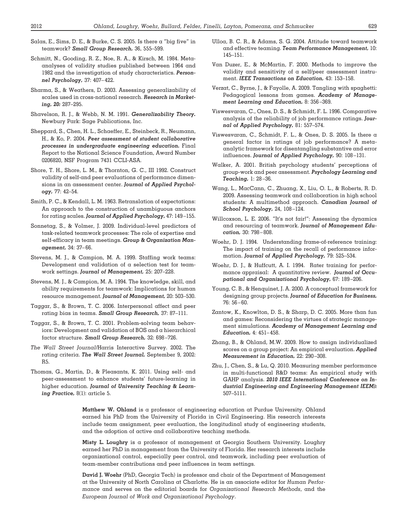- Salas, E., Sims, D. E., & Burke, C. S. 2005. Is there a "big five" in teamwork? *Small Group Research,* 36, 555–599.
- Schmitt, N., Gooding, R. Z., Noe, R. A., & Kirsch, M. 1984. Metaanalyses of validity studies published between 1964 and 1982 and the investigation of study characteristics. *Personnel Psychology,* 37: 407– 422.
- Sharma, S., & Weathers, D. 2003. Assessing generalizability of scales used in cross-national research. *Research in Marketing, 20:* 287–295.
- Shavelson, R. J., & Webb, N. M. 1991. *Generalizability Theory.* Newbury Park: Sage Publications, Inc.
- Sheppard, S., Chen, H. L., Schaeffer, E., Steinbeck, R., Neumann, H., & Ko, P. 2004. *Peer assessment of student collaborative processes in undergraduate engineering education.* Final Report to the National Science Foundation, Award Number 0206820, NSF Program 7431 CCLI-ASA.
- Shore, T. H., Shore, L. M., & Thornton, G. C., III 1992. Construct validity of self-and peer evaluations of performance dimensions in an assessment center. *Journal of Applied Psychology,* 77: 42–54.
- Smith, P. C., & Kendall, L. M. 1963. Retranslation of expectations: An approach to the construction of unambiguous anchors for rating scales. *Journal of Applied Psychology,* 47: 149 –155.
- Sonnetag, S., & Volmer, J. 2009. Individual-level predictors of task-related teamwork processes: The role of expertise and self-efficacy in team meetings. *Group & Organization Management,* 34: 37– 66.
- Stevens, M. J., & Campion, M. A. 1999. Staffing work teams: Development and validation of a selection test for teamwork settings. *Journal of Management,* 25: 207–228.
- Stevens, M. J., & Campion, M. A. 1994. The knowledge, skill, and ability requirements for teamwork: Implications for human resource management. *Journal of Management,* 20: 503–530.
- Taggar, S., & Brown, T. C. 2006. Interpersonal affect and peer rating bias in teams. *Small Group Research,* 37: 87–111.
- Taggar, S., & Brown, T. C. 2001. Problem-solving team behaviors: Development and validation of BOS and a hierarchical factor structure. *Small Group Research,* 32: 698 –726.
- *The Wall Street Journal*/Harris Interactive Survey. 2002. The rating criteria. *The Wall Street Journal,* September 9, 2002: R5.
- Thomas, G., Martin, D., & Pleasants, K. 2011. Using self- and peer-assessment to enhance students' future-learning in higher education. *Journal of University Teaching & Learning Practice,* 8(1): article 5.
- Ulloa, B. C. R., & Adams, S. G. 2004. Attitude toward teamwork and effective teaming. *Team Performance Management,* 10: 145–151.
- Van Duzer, E., & McMartin, F. 2000. Methods to improve the validity and sensitivity of a self/peer assessment instrument. *IEEE Transactions on Education,* 43: 153–158.
- Verzat, C., Byrne, J., & Fayolle, A. 2009. Tangling with spaghetti: Pedagogical lessons from games. *Academy of Management Learning and Education,* 8: 356 –369.
- Viswesvaran, C., Ones, D. S., & Schmidt, F. L. 1996. Comparative analysis of the reliability of job performance ratings. *Journal of Applied Psychology,* 81: 557–574.
- Viswesvaran, C., Schmidt, F. L., & Ones, D. S. 2005. Is there a general factor in ratings of job performance? A metaanalytic framework for disentangling substantive and error influences. *Journal of Applied Psychology,* 90: 108 –131.
- Walker, A. 2001. British psychology students' perceptions of group-work and peer assessment. *Psychology Learning and Teaching,* 1: 28 –36.
- Wang, L., MacCann, C., Zhuang, X., Liu, O. L., & Roberts, R. D. 2009. Assessing teamwork and collaboration in high school students: A multimethod approach. *Canadian Journal of School Psychology,* 24, 108 –124.
- Willcoxson, L. E. 2006. "It's not fair!": Assessing the dynamics and resourcing of teamwork. *Journal of Management Education,* 30: 798 – 808.
- Woehr, D. J. 1994. Understanding frame-of-reference training: The impact of training on the recall of performance information. *Journal of Applied Psychology,* 79: 525–534.
- Woehr, D. J., & Huffcutt, A. I. 1994. Rater training for performance appraisal: A quantitative review. *Journal of Occupational and Organizational Psychology,* 67: 189 –206.
- Young, C. B., & Henquinet, J. A. 2000. A conceptual framework for designing group projects. *Journal of Education for Business,* 76: 56 – 60.
- Zantow, K., Knowlton, D. S., & Sharp, D. C. 2005. More than fun and games: Reconsidering the virtues of strategic management simulations. *Academy of Management Learning and Education,* 4: 451– 458.
- Zhang, B., & Ohland, M.W. 2009. How to assign individualized scores on a group project: An empirical evaluation. *Applied Measurement in Education,* 22: 290 –308.
- Zhu, J., Chen, S., & Lu, Q. 2010. Measuring member performance in multi-functional R&D teams: An empirical study with GAHP analysis. *2010 IEEE International Conference on Industrial Engineering and Engineering Management IEEM):* 507–5111.

**Matthew W. Ohland** is a professor of engineering education at Purdue University. Ohland earned his PhD from the University of Florida in Civil Engineering. His research interests include team assignment, peer evaluation, the longitudinal study of engineering students, and the adoption of active and collaborative teaching methods.

**Misty L. Loughry** is a professor of management at Georgia Southern University. Loughry earned her PhD in management from the University of Florida. Her research interests include organizational control, especially peer control, and teamwork, including peer evaluation of team-member contributions and peer influences in team settings.

**David J. Woehr** (PhD, Georgia Tech) is professor and chair of the Department of Management at the University of North Carolina at Charlotte. He is an associate editor for *Human Performance* and serves on the editorial boards for *Organizational Research Methods*, and the *European Journal of Work and Organizational Psychology*.